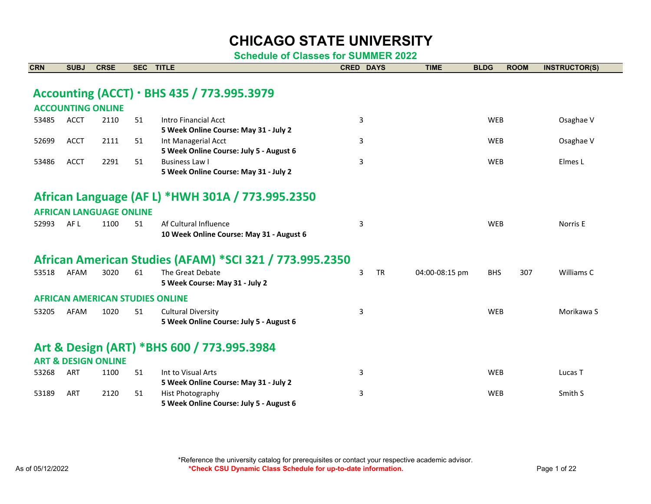| <b>CRN</b> | <b>SUBJ</b> | <b>CRSE</b>                            | <b>SEC</b> | <b>TITLE</b>                                            | <b>CRED DAYS</b> |           | <b>TIME</b>    | <b>BLDG</b> | <b>ROOM</b> | <b>INSTRUCTOR(S)</b> |
|------------|-------------|----------------------------------------|------------|---------------------------------------------------------|------------------|-----------|----------------|-------------|-------------|----------------------|
|            |             |                                        |            |                                                         |                  |           |                |             |             |                      |
|            |             |                                        |            | Accounting (ACCT) · BHS 435 / 773.995.3979              |                  |           |                |             |             |                      |
|            |             |                                        |            |                                                         |                  |           |                |             |             |                      |
|            |             | <b>ACCOUNTING ONLINE</b>               |            |                                                         |                  |           |                |             |             |                      |
| 53485      | <b>ACCT</b> | 2110                                   | 51         | Intro Financial Acct                                    | 3                |           |                | <b>WEB</b>  |             | Osaghae V            |
|            |             |                                        |            | 5 Week Online Course: May 31 - July 2                   |                  |           |                |             |             |                      |
| 52699      | <b>ACCT</b> | 2111                                   | 51         | Int Managerial Acct                                     | 3                |           |                | <b>WEB</b>  |             | Osaghae V            |
|            |             |                                        |            | 5 Week Online Course: July 5 - August 6                 |                  |           |                |             |             |                      |
| 53486      | <b>ACCT</b> | 2291                                   | 51         | Business Law I                                          | 3                |           |                | <b>WEB</b>  |             | Elmes L              |
|            |             |                                        |            | 5 Week Online Course: May 31 - July 2                   |                  |           |                |             |             |                      |
|            |             |                                        |            |                                                         |                  |           |                |             |             |                      |
|            |             |                                        |            | African Language (AF L) *HWH 301A / 773.995.2350        |                  |           |                |             |             |                      |
|            |             | <b>AFRICAN LANGUAGE ONLINE</b>         |            |                                                         |                  |           |                |             |             |                      |
| 52993      | AF L        | 1100                                   | 51         | Af Cultural Influence                                   | 3                |           |                | <b>WEB</b>  |             | Norris E             |
|            |             |                                        |            | 10 Week Online Course: May 31 - August 6                |                  |           |                |             |             |                      |
|            |             |                                        |            |                                                         |                  |           |                |             |             |                      |
|            |             |                                        |            | African American Studies (AFAM) *SCI 321 / 773.995.2350 |                  |           |                |             |             |                      |
| 53518      | AFAM        | 3020                                   | 61         | The Great Debate                                        | 3                | <b>TR</b> | 04:00-08:15 pm | <b>BHS</b>  | 307         | Williams C           |
|            |             |                                        |            | 5 Week Course: May 31 - July 2                          |                  |           |                |             |             |                      |
|            |             | <b>AFRICAN AMERICAN STUDIES ONLINE</b> |            |                                                         |                  |           |                |             |             |                      |
| 53205      | AFAM        | 1020                                   | 51         | <b>Cultural Diversity</b>                               | 3                |           |                | <b>WEB</b>  |             | Morikawa S           |
|            |             |                                        |            | 5 Week Online Course: July 5 - August 6                 |                  |           |                |             |             |                      |
|            |             |                                        |            |                                                         |                  |           |                |             |             |                      |
|            |             |                                        |            | Art & Design (ART) *BHS 600 / 773.995.3984              |                  |           |                |             |             |                      |
|            |             | <b>ART &amp; DESIGN ONLINE</b>         |            |                                                         |                  |           |                |             |             |                      |
| 53268      | <b>ART</b>  | 1100                                   | 51         | Int to Visual Arts                                      | 3                |           |                | <b>WEB</b>  |             | Lucas T              |
|            |             |                                        |            | 5 Week Online Course: May 31 - July 2                   |                  |           |                |             |             |                      |
| 53189      | ART         | 2120                                   | 51         | Hist Photography                                        | 3                |           |                | <b>WEB</b>  |             | Smith S              |
|            |             |                                        |            | 5 Week Online Course: July 5 - August 6                 |                  |           |                |             |             |                      |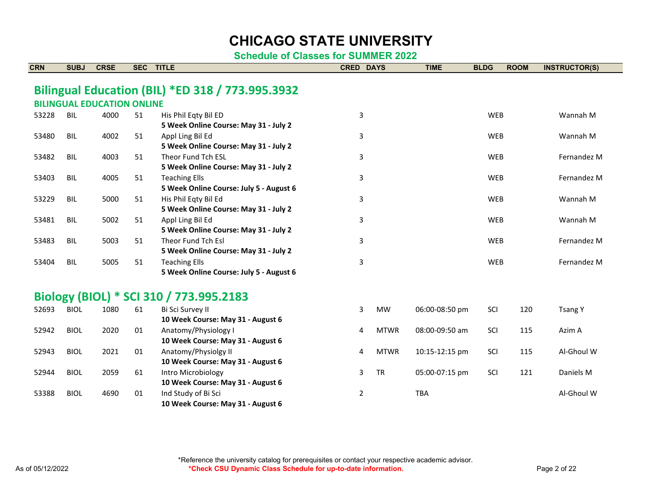| <b>CRN</b> | <b>SUBJ</b> | <b>CRSE</b>                       | <b>SEC</b> | <b>TITLE</b>                                                | <b>CRED</b>    | <b>DAYS</b> | <b>TIME</b>    | <b>BLDG</b> | <b>ROOM</b> | <b>INSTRUCTOR(S)</b> |
|------------|-------------|-----------------------------------|------------|-------------------------------------------------------------|----------------|-------------|----------------|-------------|-------------|----------------------|
|            |             |                                   |            | Bilingual Education (BIL) *ED 318 / 773.995.3932            |                |             |                |             |             |                      |
|            |             | <b>BILINGUAL EDUCATION ONLINE</b> |            |                                                             |                |             |                |             |             |                      |
| 53228      | BIL         | 4000                              | 51         | His Phil Eqty Bil ED                                        | 3              |             |                | <b>WEB</b>  |             | Wannah M             |
|            |             |                                   |            | 5 Week Online Course: May 31 - July 2                       |                |             |                |             |             |                      |
| 53480      | <b>BIL</b>  | 4002                              | 51         | Appl Ling Bil Ed                                            | 3              |             |                | <b>WEB</b>  |             | Wannah M             |
|            |             |                                   |            | 5 Week Online Course: May 31 - July 2                       |                |             |                |             |             |                      |
| 53482      | <b>BIL</b>  | 4003                              | 51         | Theor Fund Tch FSL                                          | 3              |             |                | <b>WEB</b>  |             | Fernandez M          |
|            |             |                                   |            | 5 Week Online Course: May 31 - July 2                       |                |             |                |             |             |                      |
| 53403      | <b>BIL</b>  | 4005                              | 51         | <b>Teaching Ells</b>                                        | 3              |             |                | <b>WEB</b>  |             | Fernandez M          |
|            |             |                                   |            | 5 Week Online Course: July 5 - August 6                     |                |             |                |             |             |                      |
| 53229      | <b>BIL</b>  | 5000                              | 51         | His Phil Eqty Bil Ed                                        | 3              |             |                | <b>WEB</b>  |             | Wannah M             |
|            |             |                                   |            | 5 Week Online Course: May 31 - July 2                       |                |             |                |             |             |                      |
| 53481      | <b>BIL</b>  | 5002                              | 51         | Appl Ling Bil Ed                                            | 3              |             |                | WEB         |             | Wannah M             |
|            | <b>BIL</b>  | 5003                              | 51         | 5 Week Online Course: May 31 - July 2<br>Theor Fund Tch Esl |                |             |                | <b>WEB</b>  |             | Fernandez M          |
| 53483      |             |                                   |            | 5 Week Online Course: May 31 - July 2                       | 3              |             |                |             |             |                      |
| 53404      | <b>BIL</b>  | 5005                              | 51         | <b>Teaching Ells</b>                                        | 3              |             |                | <b>WEB</b>  |             | Fernandez M          |
|            |             |                                   |            | 5 Week Online Course: July 5 - August 6                     |                |             |                |             |             |                      |
|            |             |                                   |            | Biology (BIOL) * SCI 310 / 773.995.2183                     |                |             |                |             |             |                      |
| 52693      | <b>BIOL</b> | 1080                              | 61         | Bi Sci Survey II                                            | 3              | MW          | 06:00-08:50 pm | SCI         | 120         | <b>Tsang Y</b>       |
|            |             |                                   |            | 10 Week Course: May 31 - August 6                           |                |             |                |             |             |                      |
| 52942      | <b>BIOL</b> | 2020                              | 01         | Anatomy/Physiology I                                        | 4              | <b>MTWR</b> | 08:00-09:50 am | SCI         | 115         | Azim A               |
|            |             |                                   |            | 10 Week Course: May 31 - August 6                           |                |             |                |             |             |                      |
| 52943      | <b>BIOL</b> | 2021                              | 01         | Anatomy/Physiolgy II                                        | 4              | <b>MTWR</b> | 10:15-12:15 pm | SCI         | 115         | Al-Ghoul W           |
|            |             |                                   |            | 10 Week Course: May 31 - August 6                           |                |             |                |             |             |                      |
| 52944      | <b>BIOL</b> | 2059                              | 61         | Intro Microbiology                                          | 3              | <b>TR</b>   | 05:00-07:15 pm | SCI         | 121         | Daniels M            |
|            |             |                                   |            | 10 Week Course: May 31 - August 6                           |                |             |                |             |             |                      |
| 53388      | <b>BIOL</b> | 4690                              | 01         | Ind Study of Bi Sci                                         | $\overline{2}$ |             | <b>TBA</b>     |             |             | Al-Ghoul W           |
|            |             |                                   |            | 10 Week Course: May 31 - August 6                           |                |             |                |             |             |                      |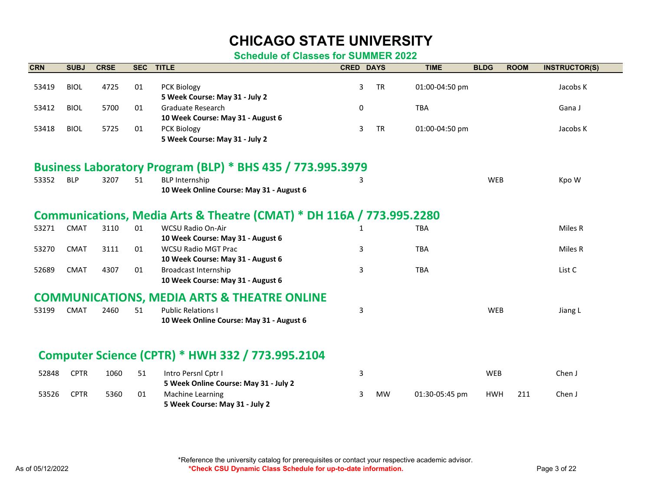#### **Schedule of Classes for SUMMER 2022**

| <b>CRN</b> | <b>SUBJ</b> | <b>CRSE</b> | <b>SEC</b> | <b>TITLE</b>                                                         | <b>CRED DAYS</b> |           | <b>TIME</b>    | <b>BLDG</b> | <b>ROOM</b> | <b>INSTRUCTOR(S)</b> |
|------------|-------------|-------------|------------|----------------------------------------------------------------------|------------------|-----------|----------------|-------------|-------------|----------------------|
| 53419      | <b>BIOL</b> | 4725        | 01         | PCK Biology                                                          | 3                | <b>TR</b> | 01:00-04:50 pm |             |             | Jacobs K             |
|            |             |             |            | 5 Week Course: May 31 - July 2                                       |                  |           |                |             |             |                      |
| 53412      | <b>BIOL</b> | 5700        | 01         | Graduate Research                                                    | $\Omega$         |           | <b>TBA</b>     |             |             | Gana J               |
|            |             |             |            | 10 Week Course: May 31 - August 6                                    |                  |           |                |             |             |                      |
| 53418      | <b>BIOL</b> | 5725        | 01         | PCK Biology                                                          | 3                | <b>TR</b> | 01:00-04:50 pm |             |             | Jacobs K             |
|            |             |             |            | 5 Week Course: May 31 - July 2                                       |                  |           |                |             |             |                      |
|            |             |             |            | Business Laboratory Program (BLP) * BHS 435 / 773.995.3979           |                  |           |                |             |             |                      |
|            |             |             |            |                                                                      |                  |           |                |             |             |                      |
| 53352      | <b>BLP</b>  | 3207        | 51         | <b>BLP Internship</b><br>10 Week Online Course: May 31 - August 6    | 3                |           |                | <b>WEB</b>  |             | Kpo W                |
|            |             |             |            |                                                                      |                  |           |                |             |             |                      |
|            |             |             |            | Communications, Media Arts & Theatre (CMAT) * DH 116A / 773.995.2280 |                  |           |                |             |             |                      |
| 53271      | <b>CMAT</b> | 3110        | 01         | <b>WCSU Radio On-Air</b>                                             |                  |           | <b>TBA</b>     |             |             | Miles R              |
|            |             |             |            | 10 Week Course: May 31 - August 6                                    |                  |           |                |             |             |                      |
| 53270      | <b>CMAT</b> | 3111        | 01         | <b>WCSU Radio MGT Prac</b>                                           | 3                |           | <b>TBA</b>     |             |             | Miles R              |
|            |             |             |            | 10 Week Course: May 31 - August 6                                    |                  |           |                |             |             |                      |
| 52689      | <b>CMAT</b> | 4307        | 01         | <b>Broadcast Internship</b>                                          | 3                |           | <b>TBA</b>     |             |             | List C               |
|            |             |             |            | 10 Week Course: May 31 - August 6                                    |                  |           |                |             |             |                      |
|            |             |             |            | <b>COMMUNICATIONS, MEDIA ARTS &amp; THEATRE ONLINE</b>               |                  |           |                |             |             |                      |
| 53199      | <b>CMAT</b> | 2460        | 51         | <b>Public Relations I</b>                                            | 3                |           |                | <b>WEB</b>  |             | Jiang L              |
|            |             |             |            | 10 Week Online Course: May 31 - August 6                             |                  |           |                |             |             |                      |
|            |             |             |            |                                                                      |                  |           |                |             |             |                      |
|            |             |             |            | Computer Science (CPTR) * HWH 332 / 773.995.2104                     |                  |           |                |             |             |                      |
| 52848      | <b>CPTR</b> | 1060        | 51         | Intro Persnl Cptr I                                                  | 3                |           |                | WEB         |             | Chen J               |
|            |             |             |            | 5 Week Online Course: May 31 - July 2                                |                  |           |                |             |             |                      |
| 53526      | <b>CPTR</b> | 5360        | 01         | Machine Learning                                                     | 3                | <b>MW</b> | 01:30-05:45 pm | <b>HWH</b>  | 211         | Chen J               |
|            |             |             |            | .                                                                    |                  |           |                |             |             |                      |

**5 Week Course: May 31 - July 2**

\*Reference the university catalog for prerequisites or contact your respective academic advisor. As of 05/12/2022 *Page 3 of 22* **\*Check CSU Dynamic Class Schedule for up-to-date information.** Page 3 of 22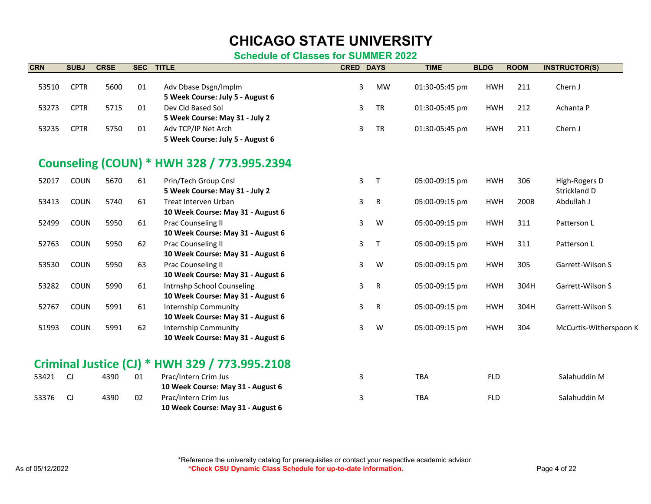#### **Schedule of Classes for SUMMER 2022**

| <b>CRN</b> | <b>SUBJ</b> | <b>CRSE</b> | <b>SEC</b> | <b>TITLE</b>                                             | <b>CRED DAYS</b> |              | <b>TIME</b>    | <b>BLDG</b> | <b>ROOM</b> | <b>INSTRUCTOR(S)</b>    |
|------------|-------------|-------------|------------|----------------------------------------------------------|------------------|--------------|----------------|-------------|-------------|-------------------------|
|            |             |             |            |                                                          |                  |              |                |             |             |                         |
| 53510      | <b>CPTR</b> | 5600        | 01         | Adv Dbase Dsgn/Implm<br>5 Week Course: July 5 - August 6 | 3                | <b>MW</b>    | 01:30-05:45 pm | <b>HWH</b>  | 211         | Chern J                 |
| 53273      | <b>CPTR</b> | 5715        | 01         | Dev Cld Based Sol                                        | 3                | <b>TR</b>    | 01:30-05:45 pm | <b>HWH</b>  | 212         | Achanta P               |
|            |             |             |            | 5 Week Course: May 31 - July 2                           |                  |              |                |             |             |                         |
| 53235      | <b>CPTR</b> | 5750        | 01         | Adv TCP/IP Net Arch                                      | 3                | TR           | 01:30-05:45 pm | <b>HWH</b>  | 211         | Chern J                 |
|            |             |             |            | 5 Week Course: July 5 - August 6                         |                  |              |                |             |             |                         |
|            |             |             |            | Counseling (COUN) * HWH 328 / 773.995.2394               |                  |              |                |             |             |                         |
| 52017      | COUN        | 5670        | 61         | Prin/Tech Group Cnsl                                     | 3                | $\mathsf{T}$ | 05:00-09:15 pm | <b>HWH</b>  | 306         | High-Rogers D           |
|            |             |             |            | 5 Week Course: May 31 - July 2                           |                  |              |                |             |             | Strickland D            |
| 53413      | COUN        | 5740        | 61         | Treat Interven Urban                                     | 3                | R            | 05:00-09:15 pm | <b>HWH</b>  | 200B        | Abdullah J              |
|            |             |             |            | 10 Week Course: May 31 - August 6                        |                  |              |                |             |             |                         |
| 52499      | COUN        | 5950        | 61         | Prac Counseling II                                       | 3                | W            | 05:00-09:15 pm | <b>HWH</b>  | 311         | Patterson L             |
|            |             |             |            | 10 Week Course: May 31 - August 6                        |                  |              |                |             |             |                         |
| 52763      | COUN        | 5950        | 62         | <b>Prac Counseling II</b>                                | 3                | $\mathsf{T}$ | 05:00-09:15 pm | <b>HWH</b>  | 311         | Patterson L             |
|            |             |             |            | 10 Week Course: May 31 - August 6                        |                  |              |                |             |             |                         |
| 53530      | COUN        | 5950        | 63         | Prac Counseling II                                       | 3                | W            | 05:00-09:15 pm | <b>HWH</b>  | 305         | Garrett-Wilson S        |
|            |             |             |            | 10 Week Course: May 31 - August 6                        |                  |              |                |             |             |                         |
| 53282      | COUN        | 5990        | 61         | Intrnshp School Counseling                               | 3                | R            | 05:00-09:15 pm | <b>HWH</b>  | 304H        | <b>Garrett-Wilson S</b> |
|            |             |             |            | 10 Week Course: May 31 - August 6                        |                  |              |                |             |             |                         |
| 52767      | COUN        | 5991        | 61         | <b>Internship Community</b>                              | 3                | R            | 05:00-09:15 pm | <b>HWH</b>  | 304H        | Garrett-Wilson S        |
|            |             |             |            | 10 Week Course: May 31 - August 6                        |                  |              |                |             |             |                         |
| 51993      | COUN        | 5991        | 62         | <b>Internship Community</b>                              | 3                | W            | 05:00-09:15 pm | <b>HWH</b>  | 304         | McCurtis-Witherspoon K  |
|            |             |             |            | 10 Week Course: May 31 - August 6                        |                  |              |                |             |             |                         |
|            |             |             |            | Criminal Justice (CJ) * HWH 329 / 773.995.2108           |                  |              |                |             |             |                         |
| 53421      | CJ          | 4390        | 01         | Prac/Intern Crim Jus                                     | 3                |              | TBA            | <b>FLD</b>  |             | Salahuddin M            |
|            |             |             |            | 10 Week Course: May 31 - August 6                        |                  |              |                |             |             |                         |
| 53376      | CJ          | 4390        | 02         | Prac/Intern Crim Jus                                     | 3                |              | <b>TBA</b>     | <b>FLD</b>  |             | Salahuddin M            |

**10 Week Course: May 31 - August 6**

\*Reference the university catalog for prerequisites or contact your respective academic advisor. As of 05/12/2022 *\*Check CSU Dynamic Class Schedule for up-to-date information.* **Page 4 of 22**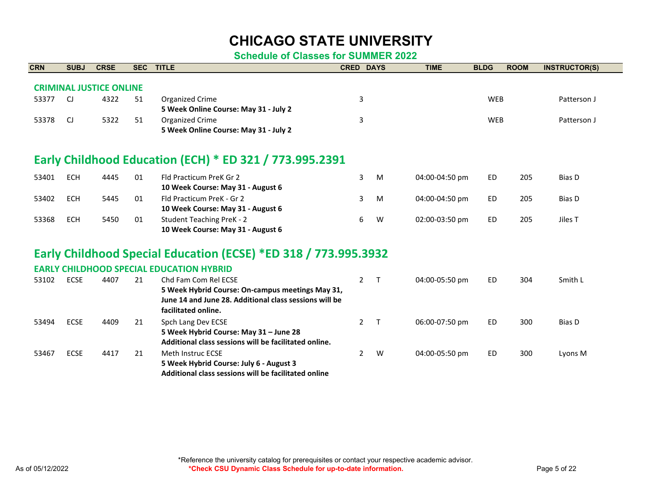#### **Schedule of Classes for SUMMER 2022**

| <b>CRN</b> | <b>SUBJ</b> | <b>CRSE</b>                    | <b>SEC</b> | <b>TITLE</b>                                                    | <b>CRED DAYS</b> |        | <b>TIME</b>    | <b>BLDG</b> | <b>ROOM</b> | <b>INSTRUCTOR(S)</b> |
|------------|-------------|--------------------------------|------------|-----------------------------------------------------------------|------------------|--------|----------------|-------------|-------------|----------------------|
|            |             |                                |            |                                                                 |                  |        |                |             |             |                      |
|            |             | <b>CRIMINAL JUSTICE ONLINE</b> |            |                                                                 |                  |        |                |             |             |                      |
| 53377      | CJ          | 4322                           | 51         | Organized Crime                                                 | 3                |        |                | <b>WEB</b>  |             | Patterson J          |
|            |             |                                |            | 5 Week Online Course: May 31 - July 2                           |                  |        |                |             |             |                      |
| 53378      | CJ          | 5322                           | 51         | <b>Organized Crime</b>                                          | 3                |        |                | <b>WEB</b>  |             | Patterson J          |
|            |             |                                |            | 5 Week Online Course: May 31 - July 2                           |                  |        |                |             |             |                      |
|            |             |                                |            | Early Childhood Education (ECH) * ED 321 / 773.995.2391         |                  |        |                |             |             |                      |
| 53401      | <b>ECH</b>  | 4445                           | 01         | Fld Practicum PreK Gr 2                                         | 3                | M      | 04:00-04:50 pm | <b>ED</b>   | 205         | Bias D               |
|            |             |                                |            | 10 Week Course: May 31 - August 6                               |                  |        |                |             |             |                      |
| 53402      | <b>ECH</b>  | 5445                           | 01         | Fld Practicum PreK - Gr 2                                       | 3                | M      | 04:00-04:50 pm | <b>ED</b>   | 205         | Bias D               |
|            |             |                                |            | 10 Week Course: May 31 - August 6                               |                  |        |                |             |             |                      |
| 53368      | <b>ECH</b>  | 5450                           | 01         | <b>Student Teaching PreK - 2</b>                                | 6                | W      | 02:00-03:50 pm | <b>ED</b>   | 205         | Jiles T              |
|            |             |                                |            | 10 Week Course: May 31 - August 6                               |                  |        |                |             |             |                      |
|            |             |                                |            | Early Childhood Special Education (ECSE) *ED 318 / 773.995.3932 |                  |        |                |             |             |                      |
|            |             |                                |            | <b>EARLY CHILDHOOD SPECIAL EDUCATION HYBRID</b>                 |                  |        |                |             |             |                      |
| 53102      | <b>ECSE</b> | 4407                           | 21         | Chd Fam Com Rel ECSE                                            | $\overline{2}$   | $\top$ | 04:00-05:50 pm | <b>ED</b>   | 304         | Smith L              |
|            |             |                                |            | 5 Week Hybrid Course: On-campus meetings May 31,                |                  |        |                |             |             |                      |
|            |             |                                |            | June 14 and June 28. Additional class sessions will be          |                  |        |                |             |             |                      |
|            |             |                                |            | facilitated online.                                             |                  |        |                |             |             |                      |
| 53494      | <b>ECSE</b> | 4409                           | 21         | Spch Lang Dev ECSE                                              | $\overline{2}$   | $\top$ | 06:00-07:50 pm | <b>ED</b>   | 300         | Bias D               |
|            |             |                                |            | 5 Week Hybrid Course: May 31 - June 28                          |                  |        |                |             |             |                      |
|            |             |                                |            | Additional class sessions will be facilitated online.           |                  |        |                |             |             |                      |
| 53467      | <b>ECSE</b> | 4417                           | 21         | <b>Meth Instruc ECSE</b>                                        | $\overline{2}$   | W      | 04:00-05:50 pm | <b>ED</b>   | 300         | Lyons M              |

**5 Week Hybrid Course: July 6 - August 3**

**Additional class sessions will be facilitated online**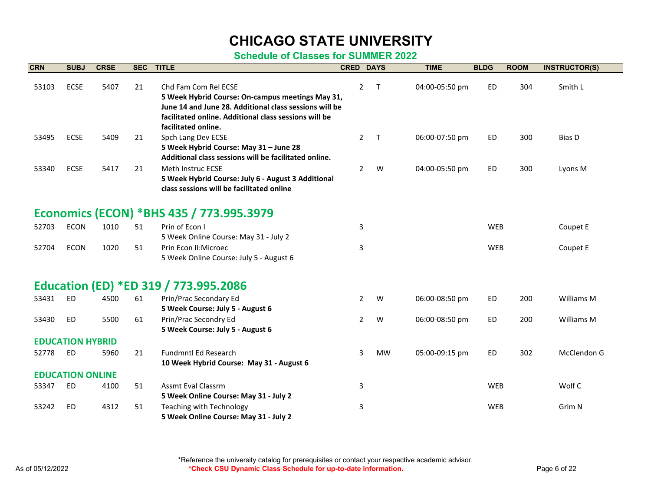| <b>CRN</b> | <b>SUBJ</b>             | <b>CRSE</b> | <b>SEC</b> | <b>TITLE</b>                                                                                                                       | <b>CRED DAYS</b> |              | <b>TIME</b>    | <b>BLDG</b> | <b>ROOM</b> | <b>INSTRUCTOR(S)</b> |
|------------|-------------------------|-------------|------------|------------------------------------------------------------------------------------------------------------------------------------|------------------|--------------|----------------|-------------|-------------|----------------------|
| 53103      | <b>ECSE</b>             | 5407        | 21         | Chd Fam Com Rel ECSE<br>5 Week Hybrid Course: On-campus meetings May 31,<br>June 14 and June 28. Additional class sessions will be | $\overline{2}$   | $\mathsf{T}$ | 04:00-05:50 pm | ED.         | 304         | Smith L              |
|            |                         |             |            | facilitated online. Additional class sessions will be                                                                              |                  |              |                |             |             |                      |
|            |                         |             |            | facilitated online.                                                                                                                |                  |              |                |             |             |                      |
| 53495      | <b>ECSE</b>             | 5409        | 21         | Spch Lang Dev ECSE<br>5 Week Hybrid Course: May 31 - June 28                                                                       | $\mathbf{2}$     | $\mathsf{T}$ | 06:00-07:50 pm | <b>ED</b>   | 300         | Bias D               |
|            |                         |             |            | Additional class sessions will be facilitated online.                                                                              |                  |              |                |             |             |                      |
| 53340      | <b>ECSE</b>             | 5417        | 21         | Meth Instruc ECSE                                                                                                                  | $\overline{2}$   | W            | 04:00-05:50 pm | ED          | 300         | Lyons M              |
|            |                         |             |            | 5 Week Hybrid Course: July 6 - August 3 Additional<br>class sessions will be facilitated online                                    |                  |              |                |             |             |                      |
|            |                         |             |            | Economics (ECON) *BHS 435 / 773.995.3979                                                                                           |                  |              |                |             |             |                      |
|            |                         |             |            |                                                                                                                                    |                  |              |                |             |             |                      |
| 52703      | <b>ECON</b>             | 1010        | 51         | Prin of Econ I<br>5 Week Online Course: May 31 - July 2                                                                            | 3                |              |                | <b>WEB</b>  |             | Coupet E             |
| 52704      | <b>ECON</b>             | 1020        | 51         | Prin Econ II: Microec                                                                                                              | 3                |              |                | <b>WEB</b>  |             | Coupet E             |
|            |                         |             |            | 5 Week Online Course: July 5 - August 6                                                                                            |                  |              |                |             |             |                      |
|            |                         |             |            | Education (ED) *ED 319 / 773.995.2086                                                                                              |                  |              |                |             |             |                      |
| 53431      | <b>ED</b>               | 4500        | 61         | Prin/Prac Secondary Ed                                                                                                             | $\overline{2}$   | W            | 06:00-08:50 pm | <b>ED</b>   | 200         | Williams M           |
|            |                         |             |            | 5 Week Course: July 5 - August 6                                                                                                   |                  |              |                |             |             |                      |
| 53430      | <b>ED</b>               | 5500        | 61         | Prin/Prac Secondry Ed                                                                                                              | 2                | W            | 06:00-08:50 pm | <b>ED</b>   | 200         | Williams M           |
|            |                         |             |            | 5 Week Course: July 5 - August 6                                                                                                   |                  |              |                |             |             |                      |
|            | <b>EDUCATION HYBRID</b> |             |            |                                                                                                                                    |                  |              |                |             |             |                      |
| 52778      | ED                      | 5960        | 21         | Fundmntl Ed Research<br>10 Week Hybrid Course: May 31 - August 6                                                                   | 3                | <b>MW</b>    | 05:00-09:15 pm | ED          | 302         | McClendon G          |
|            | <b>EDUCATION ONLINE</b> |             |            |                                                                                                                                    |                  |              |                |             |             |                      |
| 53347      | <b>ED</b>               | 4100        | 51         | <b>Assmt Eval Classrm</b>                                                                                                          | 3                |              |                | <b>WEB</b>  |             | Wolf C               |
|            |                         |             |            | 5 Week Online Course: May 31 - July 2                                                                                              |                  |              |                |             |             |                      |
| 53242      | <b>ED</b>               | 4312        | 51         | <b>Teaching with Technology</b>                                                                                                    | 3                |              |                | <b>WEB</b>  |             | Grim N               |
|            |                         |             |            | 5 Week Online Course: May 31 - July 2                                                                                              |                  |              |                |             |             |                      |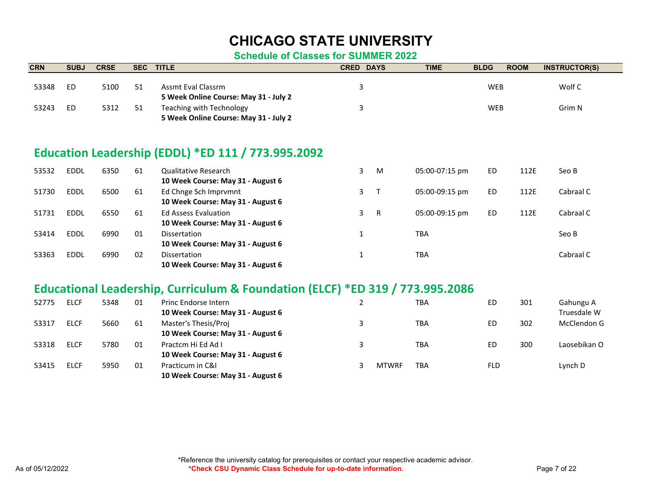| <b>CRN</b> | <b>SUBJ</b> | <b>CRSE</b> | <b>SEC</b> | <b>TITLE</b>                                                                  | <b>CRED DAYS</b> |              | <b>TIME</b>    | <b>BLDG</b> | <b>ROOM</b> | <b>INSTRUCTOR(S)</b> |
|------------|-------------|-------------|------------|-------------------------------------------------------------------------------|------------------|--------------|----------------|-------------|-------------|----------------------|
|            |             |             |            |                                                                               |                  |              |                |             |             |                      |
| 53348      | <b>ED</b>   | 5100        | 51         | Assmt Eval Classrm                                                            | 3                |              |                | <b>WEB</b>  |             | Wolf C               |
|            |             |             |            | 5 Week Online Course: May 31 - July 2                                         |                  |              |                |             |             |                      |
| 53243      | <b>ED</b>   | 5312        | 51         | <b>Teaching with Technology</b>                                               | 3                |              |                | <b>WEB</b>  |             | Grim N               |
|            |             |             |            | 5 Week Online Course: May 31 - July 2                                         |                  |              |                |             |             |                      |
|            |             |             |            |                                                                               |                  |              |                |             |             |                      |
|            |             |             |            | Education Leadership (EDDL) *ED 111 / 773.995.2092                            |                  |              |                |             |             |                      |
| 53532      | <b>EDDL</b> | 6350        | 61         | <b>Qualitative Research</b>                                                   | $\overline{3}$   | M            | 05:00-07:15 pm | <b>ED</b>   | 112E        | Seo B                |
|            |             |             |            | 10 Week Course: May 31 - August 6                                             |                  |              |                |             |             |                      |
| 51730      | <b>EDDL</b> | 6500        | 61         | Ed Chnge Sch Imprvmnt                                                         | 3                | $\mathsf{T}$ | 05:00-09:15 pm | <b>ED</b>   | 112E        | Cabraal C            |
|            |             |             |            | 10 Week Course: May 31 - August 6                                             |                  |              |                |             |             |                      |
| 51731      | <b>EDDL</b> | 6550        | 61         | <b>Ed Assess Evaluation</b>                                                   | $\mathbf{3}$     | $\mathsf{R}$ | 05:00-09:15 pm | <b>ED</b>   | 112E        | Cabraal C            |
|            |             |             |            | 10 Week Course: May 31 - August 6                                             |                  |              |                |             |             |                      |
| 53414      | <b>EDDL</b> | 6990        | 01         | <b>Dissertation</b>                                                           | $\mathbf{1}$     |              | <b>TBA</b>     |             |             | Seo B                |
|            |             |             |            | 10 Week Course: May 31 - August 6                                             |                  |              |                |             |             |                      |
| 53363      | <b>EDDL</b> | 6990        | 02         | <b>Dissertation</b>                                                           | $\mathbf{1}$     |              | <b>TBA</b>     |             |             | Cabraal C            |
|            |             |             |            | 10 Week Course: May 31 - August 6                                             |                  |              |                |             |             |                      |
|            |             |             |            |                                                                               |                  |              |                |             |             |                      |
|            |             |             |            | Educational Leadership, Curriculum & Foundation (ELCF) *ED 319 / 773.995.2086 |                  |              |                |             |             |                      |
| 52775      | <b>ELCF</b> | 5348        | 01         | Princ Endorse Intern                                                          | $\overline{2}$   |              | <b>TBA</b>     | <b>ED</b>   | 301         | Gahungu A            |
|            |             |             |            | 10 Week Course: May 31 - August 6                                             |                  |              |                |             |             | Truesdale W          |
| 53317      | <b>ELCF</b> | 5660        | 61         | Master's Thesis/Proj                                                          | 3                |              | <b>TBA</b>     | <b>ED</b>   | 302         | McClendon G          |
|            |             |             |            | 10 Week Course: May 31 - August 6                                             |                  |              |                |             |             |                      |
| 53318      | <b>ELCF</b> | 5780        | 01         | Practcm Hi Ed Ad I                                                            | 3                |              | <b>TBA</b>     | <b>ED</b>   | 300         | Laosebikan O         |
|            |             |             |            | 10 Week Course: May 31 - August 6                                             |                  |              |                |             |             |                      |
| 53415      | <b>ELCF</b> | 5950        | 01         | Practicum in C&I                                                              | 3                | <b>MTWRF</b> | <b>TBA</b>     | <b>FLD</b>  |             | Lynch D              |
|            |             |             |            | 10 Week Course: May 31 - August 6                                             |                  |              |                |             |             |                      |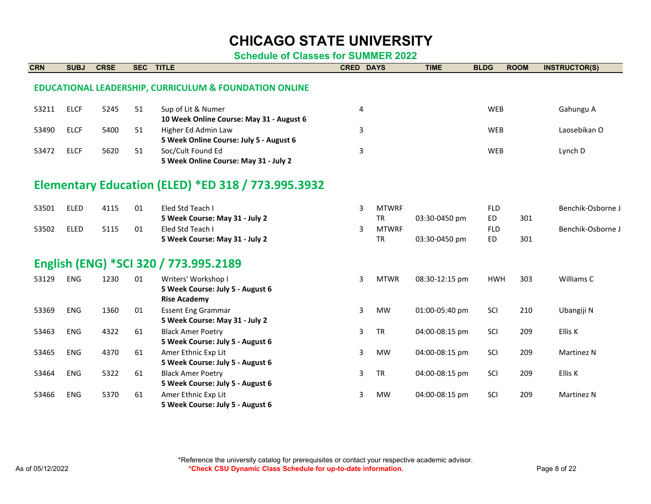| <b>CRN</b> | <b>SUBJ</b> | <b>CRSE</b> | <b>SEC</b> | <b>TITLE</b>                                                      | <b>CRED DAYS</b> |              | <b>TIME</b>    | <b>BLDG</b> | <b>ROOM</b> | <b>INSTRUCTOR(S)</b> |
|------------|-------------|-------------|------------|-------------------------------------------------------------------|------------------|--------------|----------------|-------------|-------------|----------------------|
|            |             |             |            | <b>EDUCATIONAL LEADERSHIP, CURRICULUM &amp; FOUNDATION ONLINE</b> |                  |              |                |             |             |                      |
|            |             |             |            |                                                                   |                  |              |                |             |             |                      |
| 53211      | <b>ELCF</b> | 5245        | 51         | Sup of Lit & Numer                                                | 4                |              |                | <b>WEB</b>  |             | Gahungu A            |
|            |             |             |            | 10 Week Online Course: May 31 - August 6                          |                  |              |                |             |             |                      |
| 53490      | <b>ELCF</b> | 5400        | 51         | Higher Ed Admin Law                                               | 3                |              |                | <b>WEB</b>  |             | Laosebikan O         |
|            |             |             |            | 5 Week Online Course: July 5 - August 6                           |                  |              |                |             |             |                      |
| 53472      | <b>ELCF</b> | 5620        | 51         | Soc/Cult Found Ed                                                 | 3                |              |                | <b>WEB</b>  |             | Lynch D              |
|            |             |             |            | 5 Week Online Course: May 31 - July 2                             |                  |              |                |             |             |                      |
|            |             |             |            | <b>Elementary Education (ELED) *ED 318 / 773.995.3932</b>         |                  |              |                |             |             |                      |
|            |             |             |            |                                                                   |                  |              |                |             |             |                      |
| 53501      | <b>ELED</b> | 4115        | 01         | Eled Std Teach I                                                  | 3                | <b>MTWRF</b> |                | <b>FLD</b>  |             | Benchik-Osborne J    |
|            |             |             |            | 5 Week Course: May 31 - July 2                                    |                  | <b>TR</b>    | 03:30-0450 pm  | <b>ED</b>   | 301         |                      |
| 53502      | <b>ELED</b> | 5115        | 01         | Eled Std Teach I                                                  | 3                | <b>MTWRF</b> |                | <b>FLD</b>  |             | Benchik-Osborne J    |
|            |             |             |            | 5 Week Course: May 31 - July 2                                    |                  | <b>TR</b>    | 03:30-0450 pm  | <b>ED</b>   | 301         |                      |
|            |             |             |            | English (ENG) *SCI 320 / 773.995.2189                             |                  |              |                |             |             |                      |
| 53129      | <b>ENG</b>  | 1230        | 01         | Writers' Workshop I                                               | 3                | <b>MTWR</b>  | 08:30-12:15 pm | <b>HWH</b>  | 303         | Williams C           |
|            |             |             |            | 5 Week Course: July 5 - August 6                                  |                  |              |                |             |             |                      |
|            |             |             |            | <b>Rise Academy</b>                                               |                  |              |                |             |             |                      |
| 53369      | <b>ENG</b>  | 1360        | 01         | <b>Essent Eng Grammar</b>                                         | 3                | <b>MW</b>    | 01:00-05:40 pm | SCI         | 210         | Ubangiji N           |
|            |             |             |            | 5 Week Course: May 31 - July 2                                    |                  |              |                |             |             |                      |
| 53463      | <b>ENG</b>  | 4322        | 61         | <b>Black Amer Poetry</b>                                          | 3                | <b>TR</b>    | 04:00-08:15 pm | SCI         | 209         | Ellis K              |
|            |             |             |            | 5 Week Course: July 5 - August 6                                  |                  |              |                |             |             |                      |
| 53465      | <b>ENG</b>  | 4370        | 61         | Amer Ethnic Exp Lit                                               | 3                | <b>MW</b>    | 04:00-08:15 pm | SCI         | 209         | Martinez N           |
|            |             |             |            | 5 Week Course: July 5 - August 6                                  |                  |              |                |             |             |                      |
| 53464      | <b>ENG</b>  | 5322        | 61         | <b>Black Amer Poetry</b>                                          | 3                | <b>TR</b>    | 04:00-08:15 pm | SCI         | 209         | Ellis K              |
|            |             |             |            | 5 Week Course: July 5 - August 6                                  |                  |              |                |             |             |                      |
| 53466      | <b>ENG</b>  | 5370        | 61         | Amer Ethnic Exp Lit                                               | 3                | <b>MW</b>    | 04:00-08:15 pm | SCI         | 209         | Martinez N           |
|            |             |             |            | 5 Week Course: July 5 - August 6                                  |                  |              |                |             |             |                      |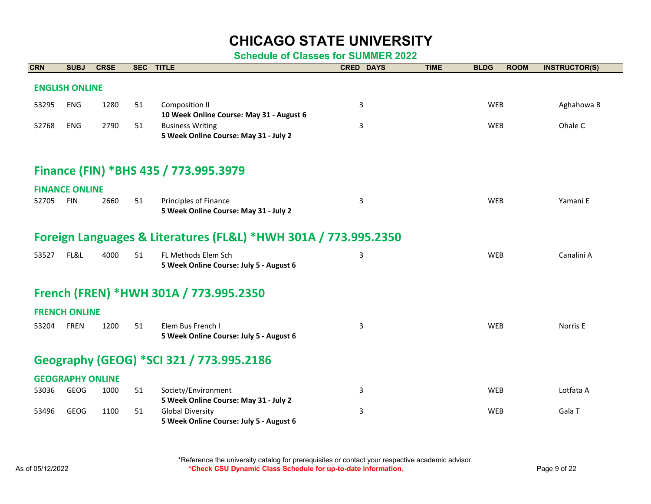| <b>CRN</b> | <b>SUBJ</b>             | <b>CRSE</b> | <b>SEC</b> | <b>TITLE</b>                                                    | <b>CRED DAYS</b> | <b>TIME</b> | <b>BLDG</b> | <b>ROOM</b> | <b>INSTRUCTOR(S)</b> |
|------------|-------------------------|-------------|------------|-----------------------------------------------------------------|------------------|-------------|-------------|-------------|----------------------|
|            | <b>ENGLISH ONLINE</b>   |             |            |                                                                 |                  |             |             |             |                      |
|            |                         |             |            |                                                                 |                  |             |             |             |                      |
| 53295      | <b>ENG</b>              | 1280        | 51         | <b>Composition II</b>                                           | 3                |             | <b>WEB</b>  |             | Aghahowa B           |
|            |                         |             |            | 10 Week Online Course: May 31 - August 6                        |                  |             |             |             |                      |
| 52768      | <b>ENG</b>              | 2790        | 51         | <b>Business Writing</b>                                         | 3                |             | WEB         |             | Ohale C              |
|            |                         |             |            | 5 Week Online Course: May 31 - July 2                           |                  |             |             |             |                      |
|            |                         |             |            |                                                                 |                  |             |             |             |                      |
|            |                         |             |            | Finance (FIN) *BHS 435 / 773.995.3979                           |                  |             |             |             |                      |
|            | <b>FINANCE ONLINE</b>   |             |            |                                                                 |                  |             |             |             |                      |
| 52705      | <b>FIN</b>              | 2660        | 51         | Principles of Finance                                           | 3                |             | <b>WEB</b>  |             | Yamani E             |
|            |                         |             |            | 5 Week Online Course: May 31 - July 2                           |                  |             |             |             |                      |
|            |                         |             |            |                                                                 |                  |             |             |             |                      |
|            |                         |             |            | Foreign Languages & Literatures (FL&L) *HWH 301A / 773.995.2350 |                  |             |             |             |                      |
| 53527      | FL&L                    | 4000        | 51         | FL Methods Elem Sch                                             | 3                |             | <b>WEB</b>  |             | Canalini A           |
|            |                         |             |            | 5 Week Online Course: July 5 - August 6                         |                  |             |             |             |                      |
|            |                         |             |            |                                                                 |                  |             |             |             |                      |
|            |                         |             |            | French (FREN) *HWH 301A / 773.995.2350                          |                  |             |             |             |                      |
|            | <b>FRENCH ONLINE</b>    |             |            |                                                                 |                  |             |             |             |                      |
| 53204      | <b>FREN</b>             | 1200        | 51         | Elem Bus French I                                               | 3                |             | <b>WEB</b>  |             | Norris E             |
|            |                         |             |            | 5 Week Online Course: July 5 - August 6                         |                  |             |             |             |                      |
|            |                         |             |            |                                                                 |                  |             |             |             |                      |
|            |                         |             |            | Geography (GEOG) *SCI 321 / 773.995.2186                        |                  |             |             |             |                      |
|            | <b>GEOGRAPHY ONLINE</b> |             |            |                                                                 |                  |             |             |             |                      |
| 53036      | <b>GEOG</b>             | 1000        | 51         | Society/Environment                                             | 3                |             | <b>WEB</b>  |             | Lotfata A            |
|            |                         |             |            | 5 Week Online Course: May 31 - July 2                           |                  |             |             |             |                      |
| 53496      | <b>GEOG</b>             | 1100        | 51         | <b>Global Diversity</b>                                         | 3                |             | <b>WEB</b>  |             | Gala T               |
|            |                         |             |            |                                                                 |                  |             |             |             |                      |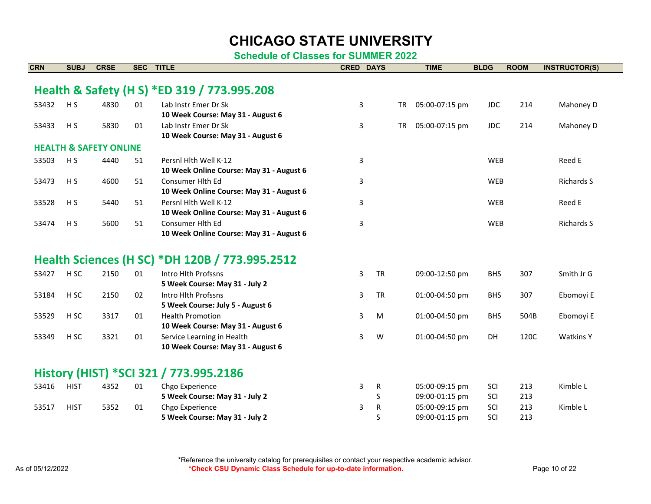| <b>CRN</b> | <b>SUBJ</b>     | <b>CRSE</b>                       | <b>SEC</b> | <b>TITLE</b>                                   | <b>CRED DAYS</b> |           | <b>TIME</b>    | <b>BLDG</b> | <b>ROOM</b> | <b>INSTRUCTOR(S)</b> |
|------------|-----------------|-----------------------------------|------------|------------------------------------------------|------------------|-----------|----------------|-------------|-------------|----------------------|
|            |                 |                                   |            |                                                |                  |           |                |             |             |                      |
|            |                 |                                   |            | Health & Safety (H S) *ED 319 / 773.995.208    |                  |           |                |             |             |                      |
| 53432      | H <sub>S</sub>  | 4830                              | 01         | Lab Instr Emer Dr Sk                           | 3                | <b>TR</b> | 05:00-07:15 pm | <b>JDC</b>  | 214         | Mahoney D            |
|            |                 |                                   |            | 10 Week Course: May 31 - August 6              |                  |           |                |             |             |                      |
| 53433      | H <sub>S</sub>  | 5830                              | 01         | Lab Instr Emer Dr Sk                           | 3                | <b>TR</b> | 05:00-07:15 pm | <b>JDC</b>  | 214         | Mahoney D            |
|            |                 |                                   |            | 10 Week Course: May 31 - August 6              |                  |           |                |             |             |                      |
|            |                 | <b>HEALTH &amp; SAFETY ONLINE</b> |            |                                                |                  |           |                |             |             |                      |
| 53503      | H <sub>S</sub>  | 4440                              | 51         | Persnl Hlth Well K-12                          | 3                |           |                | <b>WEB</b>  |             | Reed E               |
|            |                 |                                   |            | 10 Week Online Course: May 31 - August 6       |                  |           |                |             |             |                      |
| 53473      | H <sub>S</sub>  | 4600                              | 51         | Consumer Hith Ed                               | 3                |           |                | <b>WEB</b>  |             | <b>Richards S</b>    |
|            |                 |                                   |            | 10 Week Online Course: May 31 - August 6       |                  |           |                |             |             |                      |
| 53528      | H <sub>S</sub>  | 5440                              | 51         | Persnl Hlth Well K-12                          | 3                |           |                | <b>WEB</b>  |             | Reed E               |
|            |                 |                                   |            | 10 Week Online Course: May 31 - August 6       |                  |           |                |             |             |                      |
| 53474      | H <sub>S</sub>  | 5600                              | 51         | Consumer Hith Ed                               | 3                |           |                | <b>WEB</b>  |             | <b>Richards S</b>    |
|            |                 |                                   |            | 10 Week Online Course: May 31 - August 6       |                  |           |                |             |             |                      |
|            |                 |                                   |            |                                                |                  |           |                |             |             |                      |
|            |                 |                                   |            | Health Sciences (H SC) *DH 120B / 773.995.2512 |                  |           |                |             |             |                      |
| 53427      | H <sub>SC</sub> | 2150                              | 01         | Intro Hlth Profssns                            | 3                | <b>TR</b> | 09:00-12:50 pm | <b>BHS</b>  | 307         | Smith Jr G           |
|            |                 |                                   |            | 5 Week Course: May 31 - July 2                 |                  |           |                |             |             |                      |
| 53184      | H <sub>SC</sub> | 2150                              | 02         | Intro Hlth Profssns                            | 3                | <b>TR</b> | 01:00-04:50 pm | <b>BHS</b>  | 307         | Ebomoyi E            |
|            |                 |                                   |            | 5 Week Course: July 5 - August 6               |                  |           |                |             |             |                      |
| 53529      | H <sub>SC</sub> | 3317                              | 01         | <b>Health Promotion</b>                        | 3                | M         | 01:00-04:50 pm | <b>BHS</b>  | 504B        | Ebomoyi E            |
|            |                 |                                   |            | 10 Week Course: May 31 - August 6              |                  |           |                |             |             |                      |
| 53349      | H <sub>SC</sub> | 3321                              | 01         | Service Learning in Health                     | 3                | W         | 01:00-04:50 pm | <b>DH</b>   | 120C        | <b>Watkins Y</b>     |
|            |                 |                                   |            | 10 Week Course: May 31 - August 6              |                  |           |                |             |             |                      |
|            |                 |                                   |            |                                                |                  |           |                |             |             |                      |
|            |                 |                                   |            | History (HIST) *SCI 321 / 773.995.2186         |                  |           |                |             |             |                      |
| 53416      | <b>HIST</b>     | 4352                              | 01         | Chgo Experience                                | 3                | R         | 05:00-09:15 pm | SCI         | 213         | Kimble L             |
|            |                 |                                   |            | 5 Week Course: May 31 - July 2                 |                  | S         | 09:00-01:15 pm | SCI         | 213         |                      |
| 53517      | <b>HIST</b>     | 5352                              | 01         | Chgo Experience                                | 3                | R         | 05:00-09:15 pm | SCI         | 213         | Kimble L             |
|            |                 |                                   |            | 5 Week Course: May 31 - July 2                 |                  | S         | 09:00-01:15 pm | SCI         | 213         |                      |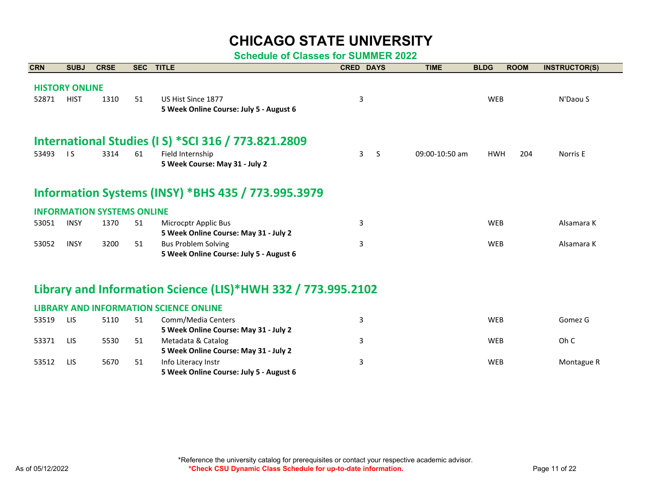| <b>CRN</b> | <b>SUBJ</b>           | <b>CRSE</b>                       | <b>SEC</b> | <b>TITLE</b>                                                 | <b>CRED DAYS</b>  | <b>TIME</b>    | <b>BLDG</b> | <b>ROOM</b> | <b>INSTRUCTOR(S)</b> |
|------------|-----------------------|-----------------------------------|------------|--------------------------------------------------------------|-------------------|----------------|-------------|-------------|----------------------|
|            | <b>HISTORY ONLINE</b> |                                   |            |                                                              |                   |                |             |             |                      |
| 52871      | <b>HIST</b>           | 1310                              | 51         | US Hist Since 1877                                           | 3                 |                | WEB         |             | N'Daou S             |
|            |                       |                                   |            | 5 Week Online Course: July 5 - August 6                      |                   |                |             |             |                      |
|            |                       |                                   |            |                                                              |                   |                |             |             |                      |
|            |                       |                                   |            | International Studies (I S) *SCI 316 / 773.821.2809          |                   |                |             |             |                      |
| 53493      | $\overline{15}$       | 3314                              | 61         | Field Internship                                             | 3<br><sub>S</sub> | 09:00-10:50 am | <b>HWH</b>  | 204         | Norris E             |
|            |                       |                                   |            | 5 Week Course: May 31 - July 2                               |                   |                |             |             |                      |
|            |                       |                                   |            | <b>Information Systems (INSY) *BHS 435 / 773.995.3979</b>    |                   |                |             |             |                      |
|            |                       | <b>INFORMATION SYSTEMS ONLINE</b> |            |                                                              |                   |                |             |             |                      |
| 53051      | <b>INSY</b>           | 1370                              | 51         | Microcptr Applic Bus                                         | 3                 |                | <b>WEB</b>  |             | Alsamara K           |
|            |                       |                                   |            | 5 Week Online Course: May 31 - July 2                        |                   |                |             |             |                      |
| 53052      | <b>INSY</b>           | 3200                              | 51         | <b>Bus Problem Solving</b>                                   | 3                 |                | <b>WEB</b>  |             | Alsamara K           |
|            |                       |                                   |            | 5 Week Online Course: July 5 - August 6                      |                   |                |             |             |                      |
|            |                       |                                   |            | Library and Information Science (LIS)*HWH 332 / 773.995.2102 |                   |                |             |             |                      |
|            |                       |                                   |            |                                                              |                   |                |             |             |                      |
|            |                       |                                   |            | <b>LIBRARY AND INFORMATION SCIENCE ONLINE</b>                |                   |                |             |             |                      |
| 53519      | LIS                   | 5110                              | 51         | Comm/Media Centers                                           | 3                 |                | <b>WEB</b>  |             | Gomez G              |
|            |                       |                                   |            | 5 Week Online Course: May 31 - July 2                        |                   |                |             |             |                      |
| 53371      | LIS                   | 5530                              | 51         | Metadata & Catalog                                           | 3                 |                | <b>WEB</b>  |             | Oh C                 |
|            |                       |                                   |            | 5 Week Online Course: May 31 - July 2                        |                   |                |             |             |                      |
| 53512      | LIS                   | 5670                              | 51         | Info Literacy Instr                                          | 3                 |                | <b>WEB</b>  |             | Montague R           |
|            |                       |                                   |            | 5 Week Online Course: July 5 - August 6                      |                   |                |             |             |                      |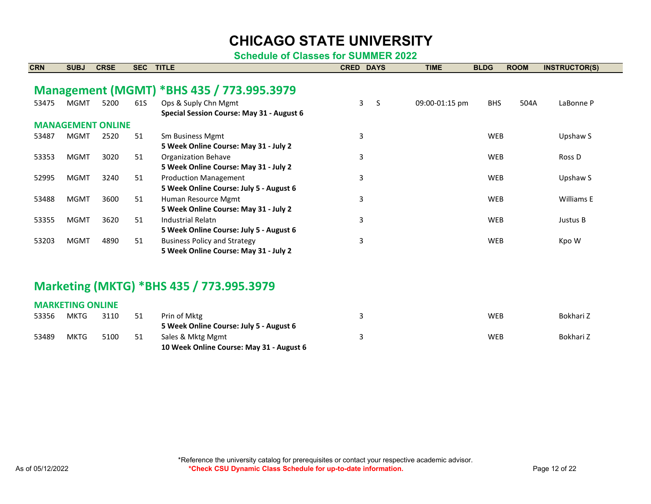**Schedule of Classes for SUMMER 2022**

| <b>CRN</b> | <b>SUBJ</b>             | <b>CRSE</b>              | <b>SEC</b> | <b>TITLE</b>                                                                 |   | <b>CRED DAYS</b>             | <b>TIME</b>    | <b>BLDG</b> | <b>ROOM</b> | <b>INSTRUCTOR(S)</b> |
|------------|-------------------------|--------------------------|------------|------------------------------------------------------------------------------|---|------------------------------|----------------|-------------|-------------|----------------------|
|            |                         |                          |            |                                                                              |   |                              |                |             |             |                      |
|            |                         |                          |            | Management (MGMT) *BHS 435 / 773.995.3979                                    |   |                              |                |             |             |                      |
| 53475      | <b>MGMT</b>             | 5200                     | 61S        | Ops & Suply Chn Mgmt                                                         |   | $\mathbf{3}$<br><sub>S</sub> | 09:00-01:15 pm | <b>BHS</b>  | 504A        | LaBonne P            |
|            |                         |                          |            | Special Session Course: May 31 - August 6                                    |   |                              |                |             |             |                      |
|            |                         | <b>MANAGEMENT ONLINE</b> |            |                                                                              |   |                              |                |             |             |                      |
| 53487      | <b>MGMT</b>             | 2520                     | 51         | <b>Sm Business Mgmt</b><br>5 Week Online Course: May 31 - July 2             | 3 |                              |                | <b>WEB</b>  |             | Upshaw S             |
| 53353      | <b>MGMT</b>             | 3020                     | 51         | <b>Organization Behave</b><br>5 Week Online Course: May 31 - July 2          | 3 |                              |                | <b>WEB</b>  |             | Ross <sub>D</sub>    |
| 52995      | <b>MGMT</b>             | 3240                     | 51         | <b>Production Management</b><br>5 Week Online Course: July 5 - August 6      | 3 |                              |                | <b>WEB</b>  |             | Upshaw S             |
| 53488      | <b>MGMT</b>             | 3600                     | 51         | Human Resource Mgmt<br>5 Week Online Course: May 31 - July 2                 | 3 |                              |                | <b>WEB</b>  |             | Williams E           |
| 53355      | <b>MGMT</b>             | 3620                     | 51         | <b>Industrial Relatn</b><br>5 Week Online Course: July 5 - August 6          | 3 |                              |                | <b>WEB</b>  |             | Justus B             |
| 53203      | <b>MGMT</b>             | 4890                     | 51         | <b>Business Policy and Strategy</b><br>5 Week Online Course: May 31 - July 2 | 3 |                              |                | <b>WEB</b>  |             | Kpo W                |
|            |                         |                          |            |                                                                              |   |                              |                |             |             |                      |
|            |                         |                          |            | Marketing (MKTG) *BHS 435 / 773.995.3979                                     |   |                              |                |             |             |                      |
|            | <b>MARKETING ONLINE</b> |                          |            |                                                                              |   |                              |                |             |             |                      |
| 53356      | <b>MKTG</b>             | 3110                     | 51         | Prin of Mktg<br>5 Week Online Course: July 5 - August 6                      | 3 |                              |                | <b>WEB</b>  |             | Bokhari Z            |
| 53489      | <b>MKTG</b>             | 5100                     | 51         | Sales & Mktg Mgmt                                                            | 3 |                              |                | <b>WEB</b>  |             | Bokhari Z            |

**10 Week Online Course: May 31 - August 6**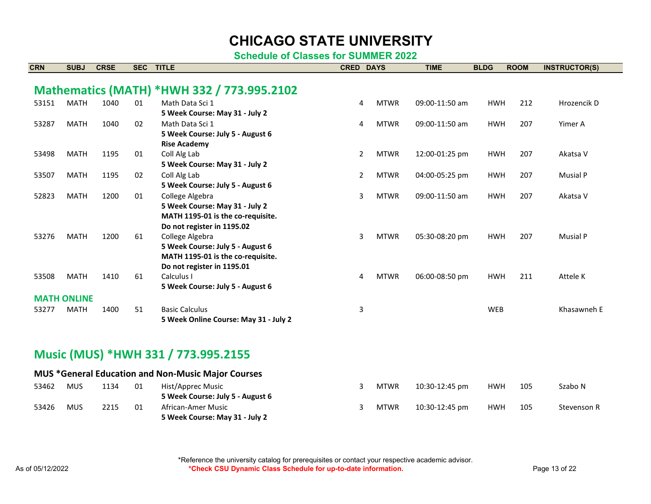**Schedule of Classes for SUMMER 2022**

| <b>CRN</b> | <b>SUBJ</b>        | <b>CRSE</b> | <b>SEC</b> | <b>TITLE</b>                                              | <b>DAYS</b><br><b>CRED</b> |             | <b>TIME</b>    | <b>BLDG</b> | <b>ROOM</b> | <b>INSTRUCTOR(S)</b> |
|------------|--------------------|-------------|------------|-----------------------------------------------------------|----------------------------|-------------|----------------|-------------|-------------|----------------------|
|            |                    |             |            |                                                           |                            |             |                |             |             |                      |
|            |                    |             |            | Mathematics (MATH) *HWH 332 / 773.995.2102                |                            |             |                |             |             |                      |
| 53151      | <b>MATH</b>        | 1040        | 01         | Math Data Sci 1                                           | 4                          | <b>MTWR</b> | 09:00-11:50 am | <b>HWH</b>  | 212         | Hrozencik D          |
|            |                    |             |            | 5 Week Course: May 31 - July 2                            |                            |             |                |             |             |                      |
| 53287      | <b>MATH</b>        | 1040        | 02         | Math Data Sci 1                                           | 4                          | <b>MTWR</b> | 09:00-11:50 am | <b>HWH</b>  | 207         | Yimer A              |
|            |                    |             |            | 5 Week Course: July 5 - August 6                          |                            |             |                |             |             |                      |
|            |                    |             |            | <b>Rise Academy</b>                                       |                            |             |                |             |             |                      |
| 53498      | <b>MATH</b>        | 1195        | 01         | Coll Alg Lab                                              | $\overline{2}$             | <b>MTWR</b> | 12:00-01:25 pm | <b>HWH</b>  | 207         | Akatsa V             |
|            |                    |             |            | 5 Week Course: May 31 - July 2                            |                            |             |                |             |             |                      |
| 53507      | <b>MATH</b>        | 1195        | 02         | Coll Alg Lab                                              | 2                          | <b>MTWR</b> | 04:00-05:25 pm | <b>HWH</b>  | 207         | <b>Musial P</b>      |
|            |                    |             |            | 5 Week Course: July 5 - August 6                          |                            |             |                |             |             |                      |
| 52823      | <b>MATH</b>        | 1200        | 01         | College Algebra                                           | 3                          | <b>MTWR</b> | 09:00-11:50 am | <b>HWH</b>  | 207         | Akatsa V             |
|            |                    |             |            | 5 Week Course: May 31 - July 2                            |                            |             |                |             |             |                      |
|            |                    |             |            | MATH 1195-01 is the co-requisite.                         |                            |             |                |             |             |                      |
|            |                    |             |            | Do not register in 1195.02                                |                            |             |                |             |             |                      |
| 53276      | <b>MATH</b>        | 1200        | 61         | College Algebra<br>5 Week Course: July 5 - August 6       | 3                          | <b>MTWR</b> | 05:30-08:20 pm | <b>HWH</b>  | 207         | <b>Musial P</b>      |
|            |                    |             |            | MATH 1195-01 is the co-requisite.                         |                            |             |                |             |             |                      |
|            |                    |             |            | Do not register in 1195.01                                |                            |             |                |             |             |                      |
| 53508      | <b>MATH</b>        | 1410        | 61         | Calculus I                                                | 4                          | <b>MTWR</b> | 06:00-08:50 pm | <b>HWH</b>  | 211         | Attele K             |
|            |                    |             |            | 5 Week Course: July 5 - August 6                          |                            |             |                |             |             |                      |
|            | <b>MATH ONLINE</b> |             |            |                                                           |                            |             |                |             |             |                      |
| 53277      | <b>MATH</b>        | 1400        | 51         | <b>Basic Calculus</b>                                     | 3                          |             |                | <b>WEB</b>  |             | Khasawneh E          |
|            |                    |             |            | 5 Week Online Course: May 31 - July 2                     |                            |             |                |             |             |                      |
|            |                    |             |            |                                                           |                            |             |                |             |             |                      |
|            |                    |             |            |                                                           |                            |             |                |             |             |                      |
|            |                    |             |            | Music (MUS) *HWH 331 / 773.995.2155                       |                            |             |                |             |             |                      |
|            |                    |             |            |                                                           |                            |             |                |             |             |                      |
|            |                    |             |            | <b>MUS *General Education and Non-Music Major Courses</b> |                            |             |                |             |             |                      |
| 53462      | <b>MUS</b>         | 1134        | 01         | Hist/Apprec Music                                         | 3                          | <b>MTWR</b> | 10:30-12:45 pm | <b>HWH</b>  | 105         | Szabo N              |
|            |                    |             |            | 5 Week Course: July 5 - August 6                          |                            |             |                |             |             |                      |

53426 MUS 2215 01 African-Amer Music

**5 Week Course: May 31 - July 2**

3 MTWR 10:30-12:45 pm HWH 105 Stevenson R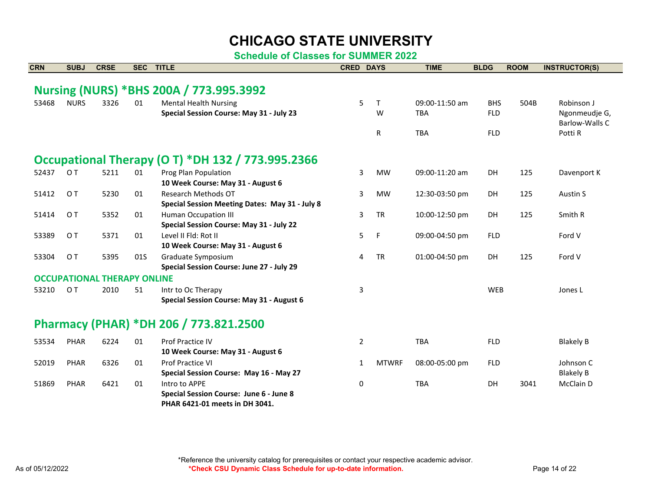**Schedule of Classes for SUMMER 2022**

| <b>SUBJ</b>                                              | <b>CRSE</b> | <b>SEC</b> |                                                |                                                                                                                                                                                                                                             |                                                                       | <b>TIME</b>                      | <b>BLDG</b>              | <b>ROOM</b>                                                                                                                                                          | <b>INSTRUCTOR(S)</b>  |  |
|----------------------------------------------------------|-------------|------------|------------------------------------------------|---------------------------------------------------------------------------------------------------------------------------------------------------------------------------------------------------------------------------------------------|-----------------------------------------------------------------------|----------------------------------|--------------------------|----------------------------------------------------------------------------------------------------------------------------------------------------------------------|-----------------------|--|
|                                                          |             |            |                                                |                                                                                                                                                                                                                                             |                                                                       |                                  |                          |                                                                                                                                                                      |                       |  |
|                                                          |             |            |                                                |                                                                                                                                                                                                                                             |                                                                       |                                  |                          |                                                                                                                                                                      |                       |  |
|                                                          |             |            |                                                |                                                                                                                                                                                                                                             |                                                                       |                                  |                          |                                                                                                                                                                      | Robinson J            |  |
|                                                          |             |            |                                                |                                                                                                                                                                                                                                             |                                                                       |                                  |                          |                                                                                                                                                                      | Ngonmeudje G,         |  |
|                                                          |             |            |                                                |                                                                                                                                                                                                                                             |                                                                       |                                  |                          |                                                                                                                                                                      | <b>Barlow-Walls C</b> |  |
|                                                          |             |            |                                                |                                                                                                                                                                                                                                             |                                                                       |                                  |                          |                                                                                                                                                                      | Potti R               |  |
| <b>Occupational Therapy (O T) *DH 132 / 773.995.2366</b> |             |            |                                                |                                                                                                                                                                                                                                             |                                                                       |                                  |                          |                                                                                                                                                                      |                       |  |
| O T                                                      | 5211        | 01         |                                                |                                                                                                                                                                                                                                             | <b>MW</b>                                                             |                                  | DH                       | 125                                                                                                                                                                  | Davenport K           |  |
|                                                          |             |            | 10 Week Course: May 31 - August 6              |                                                                                                                                                                                                                                             |                                                                       |                                  |                          |                                                                                                                                                                      |                       |  |
| O T                                                      | 5230        | 01         | Research Methods OT                            |                                                                                                                                                                                                                                             | <b>MW</b>                                                             |                                  | DH                       | 125                                                                                                                                                                  | Austin S              |  |
|                                                          |             |            | Special Session Meeting Dates: May 31 - July 8 |                                                                                                                                                                                                                                             |                                                                       |                                  |                          |                                                                                                                                                                      |                       |  |
| O T                                                      | 5352        | 01         | <b>Human Occupation III</b>                    |                                                                                                                                                                                                                                             | <b>TR</b>                                                             |                                  | DH                       | 125                                                                                                                                                                  | Smith R               |  |
|                                                          |             |            | Special Session Course: May 31 - July 22       |                                                                                                                                                                                                                                             |                                                                       |                                  |                          |                                                                                                                                                                      |                       |  |
| O T                                                      | 5371        | 01         | Level II Fld: Rot II                           |                                                                                                                                                                                                                                             | F                                                                     |                                  | <b>FLD</b>               |                                                                                                                                                                      | Ford V                |  |
|                                                          |             |            | 10 Week Course: May 31 - August 6              |                                                                                                                                                                                                                                             |                                                                       |                                  |                          |                                                                                                                                                                      |                       |  |
| O T                                                      | 5395        | 01S        | Graduate Symposium                             |                                                                                                                                                                                                                                             | <b>TR</b>                                                             |                                  | <b>DH</b>                | 125                                                                                                                                                                  | Ford V                |  |
|                                                          |             |            | Special Session Course: June 27 - July 29      |                                                                                                                                                                                                                                             |                                                                       |                                  |                          |                                                                                                                                                                      |                       |  |
|                                                          |             |            |                                                |                                                                                                                                                                                                                                             |                                                                       |                                  |                          |                                                                                                                                                                      |                       |  |
| O T                                                      | 2010        | 51         | Intr to Oc Therapy                             |                                                                                                                                                                                                                                             |                                                                       |                                  |                          |                                                                                                                                                                      | Jones L               |  |
|                                                          |             |            | Special Session Course: May 31 - August 6      |                                                                                                                                                                                                                                             |                                                                       |                                  |                          |                                                                                                                                                                      |                       |  |
|                                                          |             |            |                                                |                                                                                                                                                                                                                                             |                                                                       |                                  |                          |                                                                                                                                                                      |                       |  |
| PHAR                                                     | 6224        | 01         | <b>Prof Practice IV</b>                        |                                                                                                                                                                                                                                             |                                                                       | <b>TBA</b>                       | <b>FLD</b>               |                                                                                                                                                                      | <b>Blakely B</b>      |  |
|                                                          |             |            | 10 Week Course: May 31 - August 6              |                                                                                                                                                                                                                                             |                                                                       |                                  |                          |                                                                                                                                                                      |                       |  |
| <b>PHAR</b>                                              | 6326        | 01         | <b>Prof Practice VI</b>                        |                                                                                                                                                                                                                                             | <b>MTWRF</b>                                                          |                                  | <b>FLD</b>               |                                                                                                                                                                      | Johnson C             |  |
|                                                          |             |            | Special Session Course: May 16 - May 27        |                                                                                                                                                                                                                                             |                                                                       |                                  |                          |                                                                                                                                                                      | <b>Blakely B</b>      |  |
| <b>PHAR</b>                                              | 6421        | 01         | Intro to APPE                                  |                                                                                                                                                                                                                                             |                                                                       | <b>TBA</b>                       | DH                       | 3041                                                                                                                                                                 | McClain D             |  |
|                                                          |             |            | Special Session Course: June 6 - June 8        |                                                                                                                                                                                                                                             |                                                                       |                                  |                          |                                                                                                                                                                      |                       |  |
|                                                          | <b>NURS</b> | 3326       | 01                                             | <b>TITLE</b><br>Nursing (NURS) *BHS 200A / 773.995.3992<br><b>Mental Health Nursing</b><br>Special Session Course: May 31 - July 23<br>Prog Plan Population<br><b>OCCUPATIONAL THERAPY ONLINE</b><br>Pharmacy (PHAR) *DH 206 / 773.821.2500 | 5<br>3<br>3<br>3<br>5<br>4<br>3<br>$\overline{2}$<br>1<br>$\mathbf 0$ | <b>CRED DAYS</b><br>T.<br>W<br>R | <b>TBA</b><br><b>TBA</b> | 09:00-11:50 am<br><b>BHS</b><br><b>FLD</b><br><b>FLD</b><br>09:00-11:20 am<br>12:30-03:50 pm<br>10:00-12:50 pm<br>09:00-04:50 pm<br>01:00-04:50 pm<br>08:00-05:00 pm | 504B<br><b>WEB</b>    |  |

**PHAR 6421-01 meets in DH 3041.**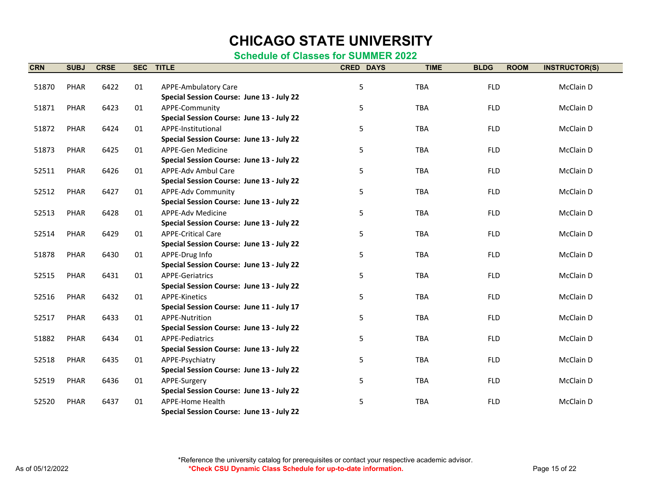#### **Schedule of Classes for SUMMER 2022**

| <b>CRN</b> | <b>SUBJ</b> | <b>CRSE</b> | <b>SEC</b> | <b>TITLE</b>                              | <b>CRED DAYS</b> | <b>TIME</b> | <b>BLDG</b><br><b>ROOM</b> | <b>INSTRUCTOR(S)</b> |
|------------|-------------|-------------|------------|-------------------------------------------|------------------|-------------|----------------------------|----------------------|
|            |             |             |            |                                           |                  |             |                            |                      |
| 51870      | PHAR        | 6422        | 01         | <b>APPE-Ambulatory Care</b>               | 5                | <b>TBA</b>  | <b>FLD</b>                 | McClain D            |
|            |             |             |            | Special Session Course: June 13 - July 22 |                  |             |                            |                      |
| 51871      | <b>PHAR</b> | 6423        | 01         | APPE-Community                            | 5                | <b>TBA</b>  | <b>FLD</b>                 | McClain D            |
|            |             |             |            | Special Session Course: June 13 - July 22 |                  |             |                            |                      |
| 51872      | <b>PHAR</b> | 6424        | 01         | APPE-Institutional                        | 5                | <b>TBA</b>  | <b>FLD</b>                 | McClain D            |
|            |             |             |            | Special Session Course: June 13 - July 22 |                  |             |                            |                      |
| 51873      | PHAR        | 6425        | 01         | APPE-Gen Medicine                         | 5                | <b>TBA</b>  | <b>FLD</b>                 | McClain D            |
|            |             |             |            | Special Session Course: June 13 - July 22 |                  |             |                            |                      |
| 52511      | PHAR        | 6426        | 01         | APPE-Adv Ambul Care                       | 5                | <b>TBA</b>  | <b>FLD</b>                 | McClain D            |
|            |             |             |            | Special Session Course: June 13 - July 22 |                  |             |                            |                      |
| 52512      | <b>PHAR</b> | 6427        | 01         | <b>APPE-Adv Community</b>                 | 5                | <b>TBA</b>  | <b>FLD</b>                 | McClain D            |
|            |             |             |            | Special Session Course: June 13 - July 22 |                  |             |                            |                      |
| 52513      | <b>PHAR</b> | 6428        | 01         | APPE-Adv Medicine                         | 5                | <b>TBA</b>  | <b>FLD</b>                 | McClain D            |
|            |             |             |            | Special Session Course: June 13 - July 22 |                  |             |                            |                      |
| 52514      | <b>PHAR</b> | 6429        | 01         | <b>APPE-Critical Care</b>                 | 5                | <b>TBA</b>  | <b>FLD</b>                 | McClain D            |
|            |             |             |            | Special Session Course: June 13 - July 22 |                  |             |                            |                      |
| 51878      | PHAR        | 6430        | 01         | APPE-Drug Info                            | 5                | <b>TBA</b>  | <b>FLD</b>                 | McClain D            |
|            |             |             |            | Special Session Course: June 13 - July 22 |                  |             |                            |                      |
| 52515      | <b>PHAR</b> | 6431        | 01         | <b>APPE-Geriatrics</b>                    | 5                | <b>TBA</b>  | <b>FLD</b>                 | McClain D            |
|            |             |             |            | Special Session Course: June 13 - July 22 |                  |             |                            |                      |
| 52516      | <b>PHAR</b> | 6432        | 01         | <b>APPE-Kinetics</b>                      | 5                | <b>TBA</b>  | <b>FLD</b>                 | McClain D            |
|            |             |             |            | Special Session Course: June 11 - July 17 |                  |             |                            |                      |
| 52517      | <b>PHAR</b> | 6433        | 01         | APPE-Nutrition                            | 5                | <b>TBA</b>  | <b>FLD</b>                 | McClain D            |
|            |             |             |            | Special Session Course: June 13 - July 22 |                  |             |                            |                      |
| 51882      | PHAR        | 6434        | 01         | <b>APPE-Pediatrics</b>                    | 5                | <b>TBA</b>  | <b>FLD</b>                 | McClain D            |
|            |             |             |            | Special Session Course: June 13 - July 22 |                  |             |                            |                      |
| 52518      | <b>PHAR</b> | 6435        | 01         | APPE-Psychiatry                           | 5                | <b>TBA</b>  | <b>FLD</b>                 | McClain D            |
|            |             |             |            | Special Session Course: June 13 - July 22 |                  |             |                            |                      |
| 52519      | <b>PHAR</b> | 6436        | 01         | APPE-Surgery                              | 5                | <b>TBA</b>  | <b>FLD</b>                 | McClain D            |
|            |             |             |            | Special Session Course: June 13 - July 22 |                  |             |                            |                      |
| 52520      | PHAR        | 6437        | 01         | APPE-Home Health                          | 5                | <b>TBA</b>  | <b>FLD</b>                 | McClain D            |
|            |             |             |            | Special Session Course: June 13 - July 22 |                  |             |                            |                      |

\*Reference the university catalog for prerequisites or contact your respective academic advisor. As of 05/12/2022 *Page 15 of 22* **\*Check CSU Dynamic Class Schedule for up-to-date information.** Page 15 of 22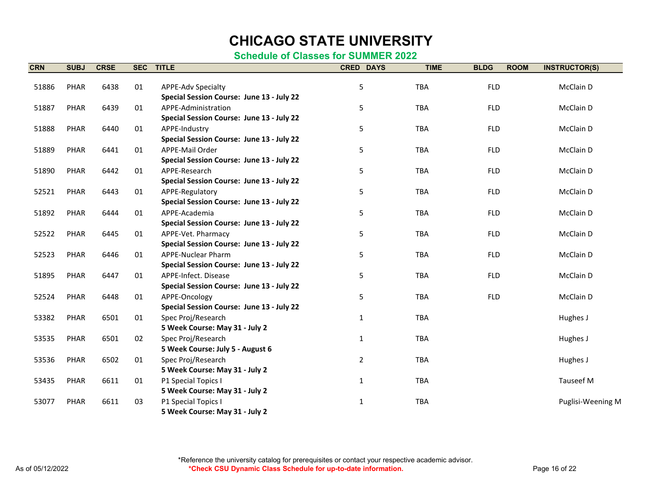| <b>CRN</b> | <b>SUBJ</b> | <b>CRSE</b> | <b>SEC</b> | <b>TITLE</b>                              | <b>CRED DAYS</b> | <b>TIME</b> | <b>BLDG</b><br><b>ROOM</b> | <b>INSTRUCTOR(S)</b> |
|------------|-------------|-------------|------------|-------------------------------------------|------------------|-------------|----------------------------|----------------------|
|            |             |             |            |                                           |                  |             |                            |                      |
| 51886      | <b>PHAR</b> | 6438        | 01         | <b>APPE-Adv Specialty</b>                 | 5                | <b>TBA</b>  | <b>FLD</b>                 | McClain D            |
|            |             |             |            | Special Session Course: June 13 - July 22 |                  |             |                            |                      |
| 51887      | PHAR        | 6439        | 01         | APPE-Administration                       | 5                | TBA         | <b>FLD</b>                 | McClain D            |
|            |             |             |            | Special Session Course: June 13 - July 22 |                  |             |                            |                      |
| 51888      | PHAR        | 6440        | 01         | APPE-Industry                             | 5                | TBA         | <b>FLD</b>                 | McClain D            |
|            |             |             |            | Special Session Course: June 13 - July 22 |                  |             |                            |                      |
| 51889      | <b>PHAR</b> | 6441        | 01         | APPE-Mail Order                           | 5                | TBA         | <b>FLD</b>                 | McClain D            |
|            |             |             |            | Special Session Course: June 13 - July 22 |                  |             |                            |                      |
| 51890      | <b>PHAR</b> | 6442        | 01         | APPE-Research                             | 5                | <b>TBA</b>  | <b>FLD</b>                 | McClain D            |
|            |             |             |            | Special Session Course: June 13 - July 22 |                  |             |                            |                      |
| 52521      | <b>PHAR</b> | 6443        | 01         | APPE-Regulatory                           | 5                | TBA         | <b>FLD</b>                 | McClain D            |
|            |             |             |            | Special Session Course: June 13 - July 22 |                  |             |                            |                      |
| 51892      | <b>PHAR</b> | 6444        | 01         | APPE-Academia                             | 5                | TBA         | <b>FLD</b>                 | McClain D            |
|            |             |             |            | Special Session Course: June 13 - July 22 |                  |             |                            |                      |
| 52522      | PHAR        | 6445        | 01         | APPE-Vet. Pharmacy                        | 5                | TBA         | <b>FLD</b>                 | McClain D            |
|            |             |             |            | Special Session Course: June 13 - July 22 |                  |             |                            |                      |
| 52523      | PHAR        | 6446        | 01         | <b>APPE-Nuclear Pharm</b>                 | 5                | <b>TBA</b>  | <b>FLD</b>                 | McClain D            |
|            |             |             |            | Special Session Course: June 13 - July 22 |                  |             |                            |                      |
| 51895      | <b>PHAR</b> | 6447        | 01         | APPE-Infect. Disease                      | 5                | TBA         | <b>FLD</b>                 | McClain D            |
|            |             |             |            | Special Session Course: June 13 - July 22 |                  |             |                            |                      |
| 52524      | PHAR        | 6448        | 01         | APPE-Oncology                             | 5                | TBA         | <b>FLD</b>                 | McClain D            |
|            |             |             |            | Special Session Course: June 13 - July 22 |                  |             |                            |                      |
| 53382      | <b>PHAR</b> | 6501        | 01         | Spec Proj/Research                        | $\mathbf{1}$     | <b>TBA</b>  |                            | Hughes J             |
|            |             |             |            | 5 Week Course: May 31 - July 2            |                  |             |                            |                      |
| 53535      | <b>PHAR</b> | 6501        | 02         | Spec Proj/Research                        | 1                | <b>TBA</b>  |                            | Hughes J             |
|            |             |             |            | 5 Week Course: July 5 - August 6          |                  |             |                            |                      |
| 53536      | <b>PHAR</b> | 6502        | 01         | Spec Proj/Research                        | $\overline{2}$   | <b>TBA</b>  |                            | Hughes J             |
|            |             |             |            | 5 Week Course: May 31 - July 2            |                  |             |                            |                      |
| 53435      | <b>PHAR</b> | 6611        | 01         | P1 Special Topics I                       | $\mathbf{1}$     | <b>TBA</b>  |                            | Tauseef M            |
|            |             |             |            | 5 Week Course: May 31 - July 2            |                  |             |                            |                      |
| 53077      | PHAR        | 6611        | 03         | P1 Special Topics I                       | $\mathbf{1}$     | <b>TBA</b>  |                            | Puglisi-Weening M    |
|            |             |             |            | 5 Week Course: May 31 - July 2            |                  |             |                            |                      |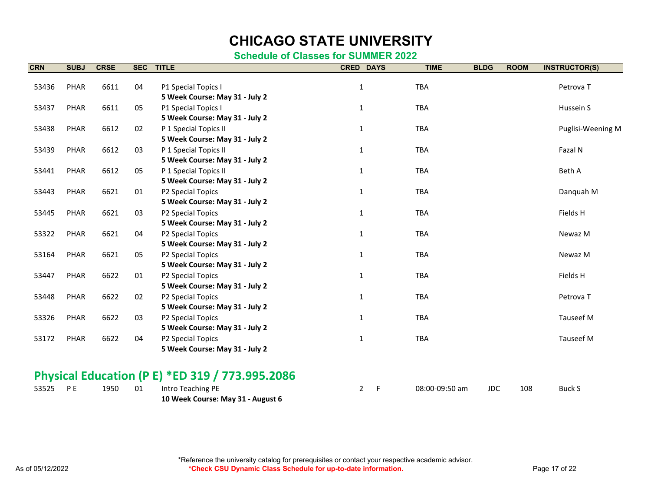| <b>CRN</b> | <b>SUBJ</b>                                     | <b>CRSE</b> | <b>SEC</b> | <b>TITLE</b>                   | <b>CRED DAYS</b> | <b>TIME</b> | <b>BLDG</b> | <b>ROOM</b> | <b>INSTRUCTOR(S)</b> |  |  |  |
|------------|-------------------------------------------------|-------------|------------|--------------------------------|------------------|-------------|-------------|-------------|----------------------|--|--|--|
| 53436      | PHAR                                            | 6611        | 04         | P1 Special Topics I            | $\mathbf{1}$     | <b>TBA</b>  |             |             | Petrova T            |  |  |  |
|            |                                                 |             |            | 5 Week Course: May 31 - July 2 |                  |             |             |             |                      |  |  |  |
| 53437      | PHAR                                            | 6611        | 05         | P1 Special Topics I            | $\mathbf{1}$     | TBA         |             |             | Hussein S            |  |  |  |
|            |                                                 |             |            | 5 Week Course: May 31 - July 2 |                  |             |             |             |                      |  |  |  |
| 53438      | PHAR                                            | 6612        | 02         | P 1 Special Topics II          | $\mathbf{1}$     | TBA         |             |             | Puglisi-Weening M    |  |  |  |
|            |                                                 |             |            | 5 Week Course: May 31 - July 2 |                  |             |             |             |                      |  |  |  |
| 53439      | PHAR                                            | 6612        | 03         | P 1 Special Topics II          | $\mathbf{1}$     | TBA         |             |             | Fazal N              |  |  |  |
|            |                                                 |             |            | 5 Week Course: May 31 - July 2 |                  |             |             |             |                      |  |  |  |
| 53441      | PHAR                                            | 6612        | 05         | P 1 Special Topics II          | $\mathbf{1}$     | <b>TBA</b>  |             |             | Beth A               |  |  |  |
|            |                                                 |             |            | 5 Week Course: May 31 - July 2 |                  |             |             |             |                      |  |  |  |
| 53443      | PHAR                                            | 6621        | 01         | P2 Special Topics              | $\mathbf{1}$     | TBA         |             |             | Danquah M            |  |  |  |
|            |                                                 |             |            | 5 Week Course: May 31 - July 2 |                  |             |             |             |                      |  |  |  |
| 53445      | PHAR                                            | 6621        | 03         | P2 Special Topics              | $\mathbf{1}$     | <b>TBA</b>  |             |             | Fields H             |  |  |  |
|            |                                                 |             |            | 5 Week Course: May 31 - July 2 |                  |             |             |             |                      |  |  |  |
| 53322      | PHAR                                            | 6621        | 04         | P2 Special Topics              | $\mathbf{1}$     | TBA         |             |             | Newaz M              |  |  |  |
|            |                                                 |             |            | 5 Week Course: May 31 - July 2 |                  |             |             |             |                      |  |  |  |
| 53164      | PHAR                                            | 6621        | 05         | P2 Special Topics              | $\mathbf{1}$     | TBA         |             |             | Newaz M              |  |  |  |
|            |                                                 |             |            | 5 Week Course: May 31 - July 2 |                  |             |             |             |                      |  |  |  |
| 53447      | PHAR                                            | 6622        | 01         | P2 Special Topics              | $\mathbf{1}$     | TBA         |             |             | Fields H             |  |  |  |
|            |                                                 |             |            | 5 Week Course: May 31 - July 2 |                  |             |             |             |                      |  |  |  |
| 53448      | PHAR                                            | 6622        | 02         | P2 Special Topics              | $\mathbf{1}$     | <b>TBA</b>  |             |             | Petrova T            |  |  |  |
|            |                                                 |             |            | 5 Week Course: May 31 - July 2 |                  |             |             |             |                      |  |  |  |
| 53326      | PHAR                                            | 6622        | 03         | P2 Special Topics              | $\mathbf{1}$     | <b>TBA</b>  |             |             | Tauseef M            |  |  |  |
|            |                                                 |             |            | 5 Week Course: May 31 - July 2 |                  |             |             |             |                      |  |  |  |
| 53172      | PHAR                                            | 6622        | 04         | P2 Special Topics              | $\mathbf{1}$     | TBA         |             |             | Tauseef M            |  |  |  |
|            |                                                 |             |            | 5 Week Course: May 31 - July 2 |                  |             |             |             |                      |  |  |  |
|            |                                                 |             |            |                                |                  |             |             |             |                      |  |  |  |
|            | Physical Education (P E) *ED 319 / 773.995.2086 |             |            |                                |                  |             |             |             |                      |  |  |  |
|            |                                                 |             |            |                                |                  |             |             |             |                      |  |  |  |

| 53525 PE |  | 1950 01 Intro Teaching PE         |  | 08:00-09:50 am | JDC 108 | Buck S |
|----------|--|-----------------------------------|--|----------------|---------|--------|
|          |  | 10 Week Course: May 31 - August 6 |  |                |         |        |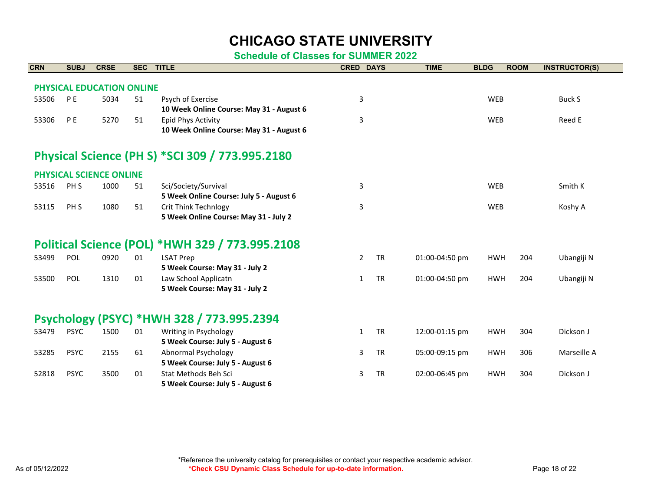| <b>CRN</b> | <b>SUBJ</b>                                     | <b>CRSE</b>                    | <b>SEC</b> | <b>TITLE</b>                                    | <b>CRED DAYS</b> |           | <b>TIME</b>    | <b>BLDG</b> | <b>ROOM</b> | <b>INSTRUCTOR(S)</b> |  |  |  |
|------------|-------------------------------------------------|--------------------------------|------------|-------------------------------------------------|------------------|-----------|----------------|-------------|-------------|----------------------|--|--|--|
|            |                                                 | PHYSICAL EDUCATION ONLINE      |            |                                                 |                  |           |                |             |             |                      |  |  |  |
| 53506      | <b>PE</b>                                       | 5034                           | 51         | Psych of Exercise                               | 3                |           |                | <b>WEB</b>  |             | Buck S               |  |  |  |
|            |                                                 |                                |            | 10 Week Online Course: May 31 - August 6        |                  |           |                |             |             |                      |  |  |  |
| 53306      | P <sub>E</sub>                                  | 5270                           | 51         | Epid Phys Activity                              | 3                |           |                | <b>WEB</b>  |             | Reed E               |  |  |  |
|            |                                                 |                                |            | 10 Week Online Course: May 31 - August 6        |                  |           |                |             |             |                      |  |  |  |
|            | Physical Science (PH S) *SCI 309 / 773.995.2180 |                                |            |                                                 |                  |           |                |             |             |                      |  |  |  |
|            |                                                 | <b>PHYSICAL SCIENCE ONLINE</b> |            |                                                 |                  |           |                |             |             |                      |  |  |  |
| 53516      | PH <sub>S</sub>                                 | 1000                           | 51         | Sci/Society/Survival                            | 3                |           |                | <b>WEB</b>  |             | Smith K              |  |  |  |
|            |                                                 |                                |            | 5 Week Online Course: July 5 - August 6         |                  |           |                |             |             |                      |  |  |  |
| 53115      | PH <sub>S</sub>                                 | 1080                           | 51         | <b>Crit Think Technlogy</b>                     | 3                |           |                | <b>WEB</b>  |             | Koshy A              |  |  |  |
|            |                                                 |                                |            | 5 Week Online Course: May 31 - July 2           |                  |           |                |             |             |                      |  |  |  |
|            |                                                 |                                |            | Political Science (POL) *HWH 329 / 773.995.2108 |                  |           |                |             |             |                      |  |  |  |
| 53499      | POL                                             | 0920                           | 01         | <b>LSAT Prep</b>                                | $\overline{2}$   | <b>TR</b> | 01:00-04:50 pm | <b>HWH</b>  | 204         | Ubangiji N           |  |  |  |
|            |                                                 |                                |            | 5 Week Course: May 31 - July 2                  |                  |           |                |             |             |                      |  |  |  |
| 53500      | POL                                             | 1310                           | 01         | Law School Applicatn                            | $\mathbf{1}$     | <b>TR</b> | 01:00-04:50 pm | <b>HWH</b>  | 204         | Ubangiji N           |  |  |  |
|            |                                                 |                                |            | 5 Week Course: May 31 - July 2                  |                  |           |                |             |             |                      |  |  |  |
|            |                                                 |                                |            | Psychology (PSYC) *HWH 328 / 773.995.2394       |                  |           |                |             |             |                      |  |  |  |
| 53479      | <b>PSYC</b>                                     | 1500                           | 01         | Writing in Psychology                           | $\mathbf{1}$     | <b>TR</b> | 12:00-01:15 pm | <b>HWH</b>  | 304         | Dickson J            |  |  |  |
|            |                                                 |                                |            | 5 Week Course: July 5 - August 6                |                  |           |                |             |             |                      |  |  |  |
| 53285      | <b>PSYC</b>                                     | 2155                           | 61         | <b>Abnormal Psychology</b>                      | 3                | <b>TR</b> | 05:00-09:15 pm | <b>HWH</b>  | 306         | Marseille A          |  |  |  |
|            |                                                 |                                |            | 5 Week Course: July 5 - August 6                |                  |           |                |             |             |                      |  |  |  |
| 52818      | <b>PSYC</b>                                     | 3500                           | 01         | Stat Methods Beh Sci                            | 3                | <b>TR</b> | 02:00-06:45 pm | <b>HWH</b>  | 304         | Dickson J            |  |  |  |
|            |                                                 |                                |            | 5 Week Course: July 5 - August 6                |                  |           |                |             |             |                      |  |  |  |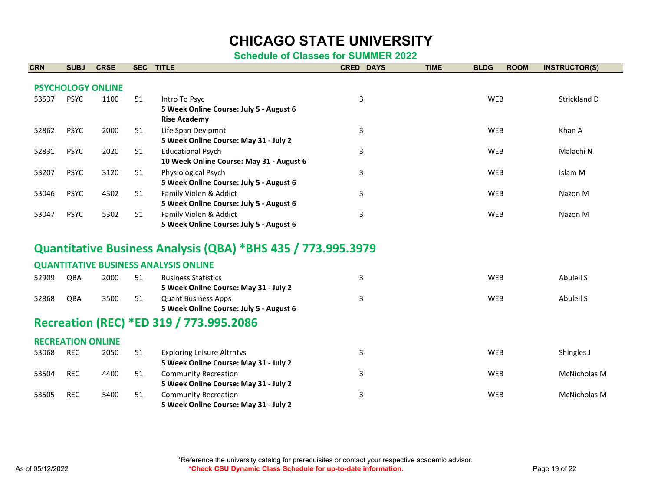**Schedule of Classes for SUMMER 2022**

| <b>CRN</b> | <b>SUBJ</b>              | <b>CRSE</b>              | <b>SEC</b> | <b>TITLE</b>                                                                    | <b>CRED DAYS</b> | <b>TIME</b> | <b>BLDG</b> | <b>ROOM</b> | <b>INSTRUCTOR(S)</b> |
|------------|--------------------------|--------------------------|------------|---------------------------------------------------------------------------------|------------------|-------------|-------------|-------------|----------------------|
|            |                          | <b>PSYCHOLOGY ONLINE</b> |            |                                                                                 |                  |             |             |             |                      |
| 53537      | <b>PSYC</b>              | 1100                     | 51         | Intro To Psyc<br>5 Week Online Course: July 5 - August 6<br><b>Rise Academy</b> | 3                |             | WEB         |             | Strickland D         |
| 52862      | <b>PSYC</b>              | 2000                     | 51         | Life Span Devlpmnt<br>5 Week Online Course: May 31 - July 2                     | 3                |             | <b>WEB</b>  |             | Khan A               |
| 52831      | <b>PSYC</b>              | 2020                     | 51         | <b>Educational Psych</b><br>10 Week Online Course: May 31 - August 6            | 3                |             | WEB         |             | Malachi N            |
| 53207      | <b>PSYC</b>              | 3120                     | 51         | Physiological Psych<br>5 Week Online Course: July 5 - August 6                  | 3                |             | <b>WEB</b>  |             | Islam M              |
| 53046      | <b>PSYC</b>              | 4302                     | 51         | Family Violen & Addict<br>5 Week Online Course: July 5 - August 6               | 3                |             | <b>WEB</b>  |             | Nazon M              |
| 53047      | <b>PSYC</b>              | 5302                     | 51         | Family Violen & Addict<br>5 Week Online Course: July 5 - August 6               | 3                |             | WEB         |             | Nazon M              |
|            |                          |                          |            | Quantitative Business Analysis (QBA) *BHS 435 / 773.995.3979                    |                  |             |             |             |                      |
|            |                          |                          |            | <b>QUANTITATIVE BUSINESS ANALYSIS ONLINE</b>                                    |                  |             |             |             |                      |
| 52909      | QBA                      | 2000                     | 51         | <b>Business Statistics</b><br>5 Week Online Course: May 31 - July 2             | 3                |             | WEB         |             | Abuleil S            |
| 52868      | QBA                      | 3500                     | 51         | <b>Quant Business Apps</b><br>5 Week Online Course: July 5 - August 6           | 3                |             | WEB         |             | Abuleil S            |
|            |                          |                          |            | Recreation (REC) *ED 319 / 773.995.2086                                         |                  |             |             |             |                      |
|            | <b>RECREATION ONLINE</b> |                          |            |                                                                                 |                  |             |             |             |                      |
| 53068      | <b>REC</b>               | 2050                     | 51         | <b>Exploring Leisure Altrntvs</b><br>5 Week Online Course: May 31 - July 2      | 3                |             | <b>WEB</b>  |             | Shingles J           |
| 53504      | <b>REC</b>               | 4400                     | 51         | <b>Community Recreation</b><br>5 Week Online Course: May 31 - July 2            | 3                |             | WEB         |             | McNicholas M         |
| 53505      | <b>REC</b>               | 5400                     | 51         | <b>Community Recreation</b>                                                     | 3                |             | WEB         |             | <b>McNicholas M</b>  |

**5 Week Online Course: May 31 - July 2**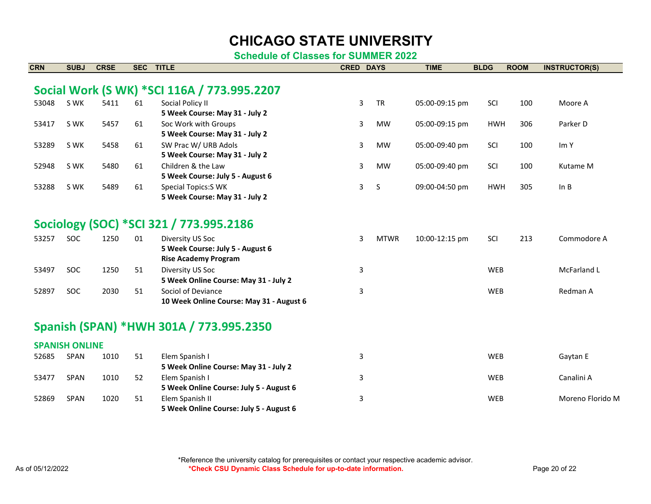**Schedule of Classes for SUMMER 2022**

| <b>CRN</b> | <b>SUBJ</b>           | <b>CRSE</b> | <b>SEC</b> | <b>TITLE</b>                                                                        | <b>CRED DAYS</b> |              | <b>TIME</b>    | <b>BLDG</b> | <b>ROOM</b> | <b>INSTRUCTOR(S)</b> |
|------------|-----------------------|-------------|------------|-------------------------------------------------------------------------------------|------------------|--------------|----------------|-------------|-------------|----------------------|
|            |                       |             |            | Social Work (S WK) *SCI 116A / 773.995.2207                                         |                  |              |                |             |             |                      |
| 53048      | S WK                  | 5411        | 61         | Social Policy II<br>5 Week Course: May 31 - July 2                                  | 3                | <b>TR</b>    | 05:00-09:15 pm | SCI         | 100         | Moore A              |
| 53417      | S WK                  | 5457        | 61         | Soc Work with Groups<br>5 Week Course: May 31 - July 2                              | 3                | <b>MW</b>    | 05:00-09:15 pm | <b>HWH</b>  | 306         | Parker D             |
| 53289      | S WK                  | 5458        | 61         | SW Prac W/ URB Adols<br>5 Week Course: May 31 - July 2                              | 3                | <b>MW</b>    | 05:00-09:40 pm | SCI         | 100         | Im Y                 |
| 52948      | S WK                  | 5480        | 61         | Children & the Law<br>5 Week Course: July 5 - August 6                              | 3                | MW           | 05:00-09:40 pm | SCI         | 100         | Kutame M             |
| 53288      | S WK                  | 5489        | 61         | <b>Special Topics:S WK</b><br>5 Week Course: May 31 - July 2                        | 3                | <sub>S</sub> | 09:00-04:50 pm | <b>HWH</b>  | 305         | In B                 |
|            |                       |             |            | Sociology (SOC) *SCI 321 / 773.995.2186                                             |                  |              |                |             |             |                      |
| 53257      | <b>SOC</b>            | 1250        | 01         | Diversity US Soc<br>5 Week Course: July 5 - August 6<br><b>Rise Academy Program</b> | 3                | <b>MTWR</b>  | 10:00-12:15 pm | SCI         | 213         | Commodore A          |
| 53497      | SOC                   | 1250        | 51         | Diversity US Soc<br>5 Week Online Course: May 31 - July 2                           | 3                |              |                | WEB         |             | McFarland L          |
| 52897      | <b>SOC</b>            | 2030        | 51         | Sociol of Deviance<br>10 Week Online Course: May 31 - August 6                      | 3                |              |                | <b>WEB</b>  |             | Redman A             |
|            |                       |             |            | Spanish (SPAN) *HWH 301A / 773.995.2350                                             |                  |              |                |             |             |                      |
|            | <b>SPANISH ONLINE</b> |             |            |                                                                                     |                  |              |                |             |             |                      |
| 52685      | SPAN                  | 1010        | 51         | Elem Spanish I<br>5 Week Online Course: May 31 - July 2                             | 3                |              |                | <b>WEB</b>  |             | Gaytan E             |
| 53477      | <b>SPAN</b>           | 1010        | 52         | Elem Spanish I<br>5 Week Online Course: July 5 - August 6                           | 3                |              |                | <b>WEB</b>  |             | Canalini A           |
| 52869      | <b>SPAN</b>           | 1020        | 51         | Elem Spanish II<br>5 Week Online Course: July 5 - August 6                          | 3                |              |                | <b>WEB</b>  |             | Moreno Florido M     |

\*Reference the university catalog for prerequisites or contact your respective academic advisor. As of 05/12/2022 **As of 05/12/2022 \*Check CSU Dynamic Class Schedule for up-to-date information.** Page 20 of 22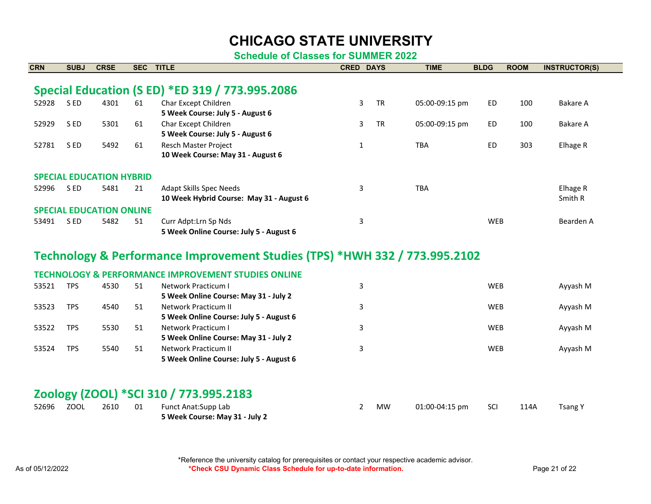**Schedule of Classes for SUMMER 2022**

| <b>CRN</b> | <b>SUBJ</b> | <b>CRSE</b>                     | <b>SEC</b> | <b>TITLE</b>                                                               | <b>CRED DAYS</b> |           | <b>TIME</b>    | <b>BLDG</b> | <b>ROOM</b> | <b>INSTRUCTOR(S)</b> |
|------------|-------------|---------------------------------|------------|----------------------------------------------------------------------------|------------------|-----------|----------------|-------------|-------------|----------------------|
|            |             |                                 |            |                                                                            |                  |           |                |             |             |                      |
|            |             |                                 |            | Special Education (S ED) *ED 319 / 773.995.2086                            |                  |           |                |             |             |                      |
| 52928      | S ED        | 4301                            | 61         | Char Except Children                                                       | 3                | <b>TR</b> | 05:00-09:15 pm | ED          | 100         | Bakare A             |
|            |             |                                 |            | 5 Week Course: July 5 - August 6                                           |                  |           |                |             |             |                      |
| 52929      | S ED        | 5301                            | 61         | Char Except Children                                                       | 3                | <b>TR</b> | 05:00-09:15 pm | <b>ED</b>   | 100         | Bakare A             |
|            |             |                                 |            | 5 Week Course: July 5 - August 6                                           |                  |           |                |             |             |                      |
| 52781      | S ED        | 5492                            | 61         | Resch Master Project                                                       | 1                |           | <b>TBA</b>     | <b>ED</b>   | 303         | Elhage R             |
|            |             |                                 |            | 10 Week Course: May 31 - August 6                                          |                  |           |                |             |             |                      |
|            |             |                                 |            |                                                                            |                  |           |                |             |             |                      |
|            |             | <b>SPECIAL EDUCATION HYBRID</b> |            |                                                                            |                  |           |                |             |             |                      |
| 52996      | S ED        | 5481                            | 21         | <b>Adapt Skills Spec Needs</b>                                             | 3                |           | <b>TBA</b>     |             |             | Elhage R             |
|            |             |                                 |            | 10 Week Hybrid Course: May 31 - August 6                                   |                  |           |                |             |             | Smith R              |
|            |             | <b>SPECIAL EDUCATION ONLINE</b> |            |                                                                            |                  |           |                |             |             |                      |
| 53491      | S ED        | 5482                            | 51         | Curr Adpt: Lrn Sp Nds                                                      | 3                |           |                | <b>WEB</b>  |             | Bearden A            |
|            |             |                                 |            | 5 Week Online Course: July 5 - August 6                                    |                  |           |                |             |             |                      |
|            |             |                                 |            |                                                                            |                  |           |                |             |             |                      |
|            |             |                                 |            | Technology & Performance Improvement Studies (TPS) *HWH 332 / 773.995.2102 |                  |           |                |             |             |                      |
|            |             |                                 |            | <b>TECHNOLOGY &amp; PERFORMANCE IMPROVEMENT STUDIES ONLINE</b>             |                  |           |                |             |             |                      |
| 53521      | <b>TPS</b>  | 4530                            | 51         | Network Practicum I                                                        | 3                |           |                | <b>WEB</b>  |             | Ayyash M             |
|            |             |                                 |            | 5 Week Online Course: May 31 - July 2                                      |                  |           |                |             |             |                      |

#### **Zoology (ZOOL) \*SCI 310 / 773.995.2183**

53523 TPS 4540 51 Network Practicum II

53522 TPS 5530 51 Network Practicum I

53524 TPS 5540 51 Network Practicum II

**5 Week Online Course: July 5 - August 6**

**5 Week Online Course: May 31 - July 2**

**5 Week Online Course: July 5 - August 6**

| 52696 | <b>ZOOL</b> | 2610 | 01 | Funct Anat:Supp Lab            | MW | 01:00-04:15 pm | SCI | 114A | Tsang Y |
|-------|-------------|------|----|--------------------------------|----|----------------|-----|------|---------|
|       |             |      |    | 5 Week Course: May 31 - July 2 |    |                |     |      |         |

3 WEB Ayyash M

3 WEB Ayyash M

3 WEB Ayyash M